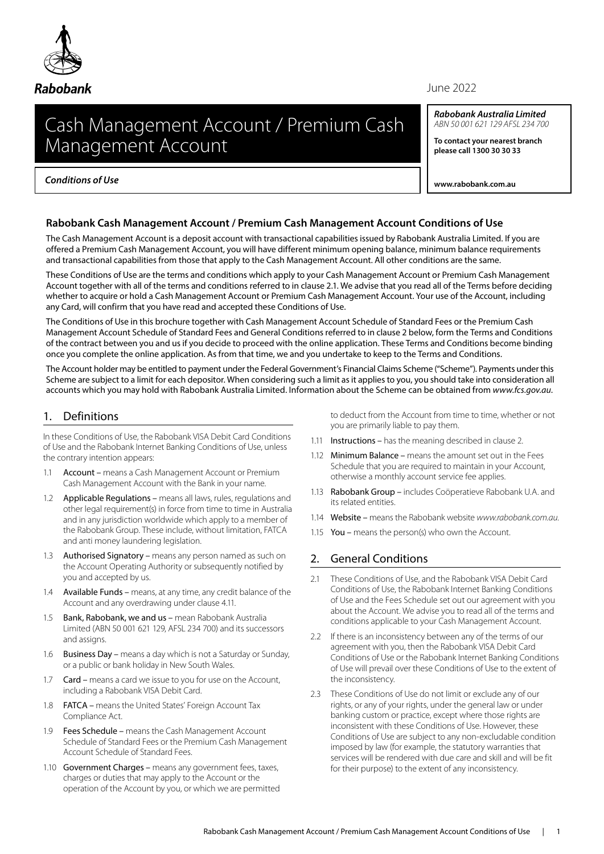

# Cash Management Account / Premium Cash Management Account

*Conditions of Use*

# June 2022

*Rabobank Australia Limited ABN 50 001 621 129 AFSL 234 700*

**To contact your nearest branch please call 1300 30 30 33**

**www.rabobank.com.au**

#### **Rabobank Cash Management Account / Premium Cash Management Account Conditions of Use**

The Cash Management Account is a deposit account with transactional capabilities issued by Rabobank Australia Limited. If you are offered a Premium Cash Management Account, you will have different minimum opening balance, minimum balance requirements and transactional capabilities from those that apply to the Cash Management Account. All other conditions are the same.

These Conditions of Use are the terms and conditions which apply to your Cash Management Account or Premium Cash Management Account together with all of the terms and conditions referred to in clause 2.1. We advise that you read all of the Terms before deciding whether to acquire or hold a Cash Management Account or Premium Cash Management Account. Your use of the Account, including any Card, will confirm that you have read and accepted these Conditions of Use.

The Conditions of Use in this brochure together with Cash Management Account Schedule of Standard Fees or the Premium Cash Management Account Schedule of Standard Fees and General Conditions referred to in clause 2 below, form the Terms and Conditions of the contract between you and us if you decide to proceed with the online application. These Terms and Conditions become binding once you complete the online application. As from that time, we and you undertake to keep to the Terms and Conditions.

The Account holder may be entitled to payment under the Federal Government's Financial Claims Scheme ("Scheme"). Payments under this Scheme are subject to a limit for each depositor. When considering such a limit as it applies to you, you should take into consideration all accounts which you may hold with Rabobank Australia Limited. Information about the Scheme can be obtained from *www.fcs.gov.au*.

### 1. Definitions

In these Conditions of Use, the Rabobank VISA Debit Card Conditions of Use and the Rabobank Internet Banking Conditions of Use, unless the contrary intention appears:

- 1.1 Account means a Cash Management Account or Premium Cash Management Account with the Bank in your name.
- 1.2 Applicable Regulations means all laws, rules, regulations and other legal requirement(s) in force from time to time in Australia and in any jurisdiction worldwide which apply to a member of the Rabobank Group. These include, without limitation, FATCA and anti money laundering legislation.
- 1.3 Authorised Signatory means any person named as such on the Account Operating Authority or subsequently notified by you and accepted by us.
- 1.4 Available Funds means, at any time, any credit balance of the Account and any overdrawing under clause 4.11.
- 1.5 Bank, Rabobank, we and us mean Rabobank Australia Limited (ABN 50 001 621 129, AFSL 234 700) and its successors and assigns.
- 1.6 Business Day means a day which is not a Saturday or Sunday, or a public or bank holiday in New South Wales.
- 1.7 **Card** means a card we issue to you for use on the Account, including a Rabobank VISA Debit Card.
- 1.8 FATCA means the United States' Foreign Account Tax Compliance Act.
- 1.9 Fees Schedule means the Cash Management Account Schedule of Standard Fees or the Premium Cash Management Account Schedule of Standard Fees.
- 1.10 Government Charges means any government fees, taxes, charges or duties that may apply to the Account or the operation of the Account by you, or which we are permitted

to deduct from the Account from time to time, whether or not you are primarily liable to pay them.

- 1.11 **Instructions** has the meaning described in clause 2.
- 1.12 Minimum Balance means the amount set out in the Fees Schedule that you are required to maintain in your Account, otherwise a monthly account service fee applies.
- 1.13 Rabobank Group includes Coöperatieve Rabobank U.A. and its related entities.
- 1.14 Website means the Rabobank website *www.rabobank.com.au.*
- 1.15 You means the person(s) who own the Account.

# 2. General Conditions

- 2.1 These Conditions of Use, and the Rabobank VISA Debit Card Conditions of Use, the Rabobank Internet Banking Conditions of Use and the Fees Schedule set out our agreement with you about the Account. We advise you to read all of the terms and conditions applicable to your Cash Management Account.
- 2.2 If there is an inconsistency between any of the terms of our agreement with you, then the Rabobank VISA Debit Card Conditions of Use or the Rabobank Internet Banking Conditions of Use will prevail over these Conditions of Use to the extent of the inconsistency.
- 2.3 These Conditions of Use do not limit or exclude any of our rights, or any of your rights, under the general law or under banking custom or practice, except where those rights are inconsistent with these Conditions of Use. However, these Conditions of Use are subject to any non-excludable condition imposed by law (for example, the statutory warranties that services will be rendered with due care and skill and will be fit for their purpose) to the extent of any inconsistency.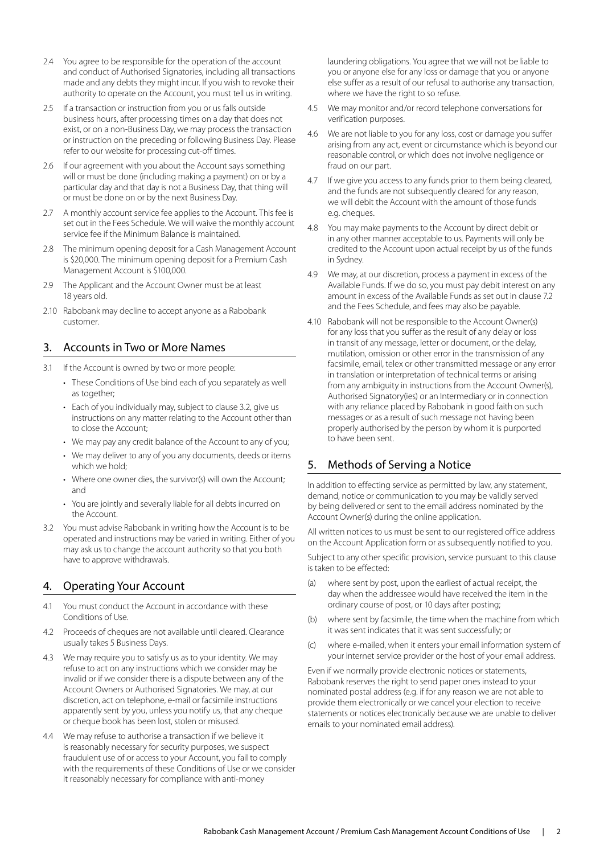- 2.4 You agree to be responsible for the operation of the account and conduct of Authorised Signatories, including all transactions made and any debts they might incur. If you wish to revoke their authority to operate on the Account, you must tell us in writing.
- 2.5 If a transaction or instruction from you or us falls outside business hours, after processing times on a day that does not exist, or on a non-Business Day, we may process the transaction or instruction on the preceding or following Business Day. Please refer to our website for processing cut-off times.
- 2.6 If our agreement with you about the Account says something will or must be done (including making a payment) on or by a particular day and that day is not a Business Day, that thing will or must be done on or by the next Business Day.
- 2.7 A monthly account service fee applies to the Account. This fee is set out in the Fees Schedule. We will waive the monthly account service fee if the Minimum Balance is maintained.
- 2.8 The minimum opening deposit for a Cash Management Account is \$20,000. The minimum opening deposit for a Premium Cash Management Account is \$100,000.
- 2.9 The Applicant and the Account Owner must be at least 18 years old.
- 2.10 Rabobank may decline to accept anyone as a Rabobank customer.

#### 3. Accounts in Two or More Names

- 3.1 If the Account is owned by two or more people:
	- These Conditions of Use bind each of you separately as well as together;
	- Each of you individually may, subject to clause 3.2, give us instructions on any matter relating to the Account other than to close the Account;
	- We may pay any credit balance of the Account to any of you;
	- We may deliver to any of you any documents, deeds or items which we hold;
	- Where one owner dies, the survivor(s) will own the Account; and
	- You are jointly and severally liable for all debts incurred on the Account.
- 3.2 You must advise Rabobank in writing how the Account is to be operated and instructions may be varied in writing. Either of you may ask us to change the account authority so that you both have to approve withdrawals.

# 4. Operating Your Account

- 4.1 You must conduct the Account in accordance with these Conditions of Use.
- 4.2 Proceeds of cheques are not available until cleared. Clearance usually takes 5 Business Days.
- 4.3 We may require you to satisfy us as to your identity. We may refuse to act on any instructions which we consider may be invalid or if we consider there is a dispute between any of the Account Owners or Authorised Signatories. We may, at our discretion, act on telephone, e-mail or facsimile instructions apparently sent by you, unless you notify us, that any cheque or cheque book has been lost, stolen or misused.
- 4.4 We may refuse to authorise a transaction if we believe it is reasonably necessary for security purposes, we suspect fraudulent use of or access to your Account, you fail to comply with the requirements of these Conditions of Use or we consider it reasonably necessary for compliance with anti-money

laundering obligations. You agree that we will not be liable to you or anyone else for any loss or damage that you or anyone else suffer as a result of our refusal to authorise any transaction, where we have the right to so refuse.

- 4.5 We may monitor and/or record telephone conversations for verification purposes.
- 4.6 We are not liable to you for any loss, cost or damage you suffer arising from any act, event or circumstance which is beyond our reasonable control, or which does not involve negligence or fraud on our part.
- 4.7 If we give you access to any funds prior to them being cleared, and the funds are not subsequently cleared for any reason, we will debit the Account with the amount of those funds e.g. cheques.
- 4.8 You may make payments to the Account by direct debit or in any other manner acceptable to us. Payments will only be credited to the Account upon actual receipt by us of the funds in Sydney.
- 4.9 We may, at our discretion, process a payment in excess of the Available Funds. If we do so, you must pay debit interest on any amount in excess of the Available Funds as set out in clause 7.2 and the Fees Schedule, and fees may also be payable.
- 4.10 Rabobank will not be responsible to the Account Owner(s) for any loss that you suffer as the result of any delay or loss in transit of any message, letter or document, or the delay, mutilation, omission or other error in the transmission of any facsimile, email, telex or other transmitted message or any error in translation or interpretation of technical terms or arising from any ambiguity in instructions from the Account Owner(s), Authorised Signatory(ies) or an Intermediary or in connection with any reliance placed by Rabobank in good faith on such messages or as a result of such message not having been properly authorised by the person by whom it is purported to have been sent.

# 5. Methods of Serving a Notice

In addition to effecting service as permitted by law, any statement, demand, notice or communication to you may be validly served by being delivered or sent to the email address nominated by the Account Owner(s) during the online application.

All written notices to us must be sent to our registered office address on the Account Application form or as subsequently notified to you.

Subject to any other specific provision, service pursuant to this clause is taken to be effected:

- (a) where sent by post, upon the earliest of actual receipt, the day when the addressee would have received the item in the ordinary course of post, or 10 days after posting;
- (b) where sent by facsimile, the time when the machine from which it was sent indicates that it was sent successfully; or
- (c) where e-mailed, when it enters your email information system of your internet service provider or the host of your email address.

Even if we normally provide electronic notices or statements, Rabobank reserves the right to send paper ones instead to your nominated postal address (e.g. if for any reason we are not able to provide them electronically or we cancel your election to receive statements or notices electronically because we are unable to deliver emails to your nominated email address).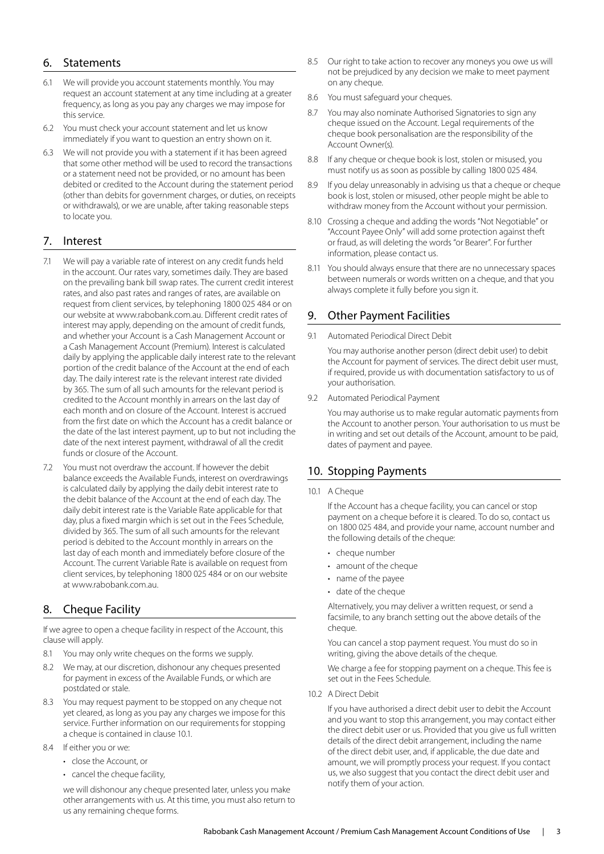#### 6. Statements

- 6.1 We will provide you account statements monthly. You may request an account statement at any time including at a greater frequency, as long as you pay any charges we may impose for this service.
- 6.2 You must check your account statement and let us know immediately if you want to question an entry shown on it.
- 6.3 We will not provide you with a statement if it has been agreed that some other method will be used to record the transactions or a statement need not be provided, or no amount has been debited or credited to the Account during the statement period (other than debits for government charges, or duties, on receipts or withdrawals), or we are unable, after taking reasonable steps to locate you.

#### 7. Interest

- 7.1 We will pay a variable rate of interest on any credit funds held in the account. Our rates vary, sometimes daily. They are based on the prevailing bank bill swap rates. The current credit interest rates, and also past rates and ranges of rates, are available on request from client services, by telephoning 1800 025 484 or on our website at www.rabobank.com.au. Different credit rates of interest may apply, depending on the amount of credit funds, and whether your Account is a Cash Management Account or a Cash Management Account (Premium). Interest is calculated daily by applying the applicable daily interest rate to the relevant portion of the credit balance of the Account at the end of each day. The daily interest rate is the relevant interest rate divided by 365. The sum of all such amounts for the relevant period is credited to the Account monthly in arrears on the last day of each month and on closure of the Account. Interest is accrued from the first date on which the Account has a credit balance or the date of the last interest payment, up to but not including the date of the next interest payment, withdrawal of all the credit funds or closure of the Account.
- 7.2 You must not overdraw the account. If however the debit balance exceeds the Available Funds, interest on overdrawings is calculated daily by applying the daily debit interest rate to the debit balance of the Account at the end of each day. The daily debit interest rate is the Variable Rate applicable for that day, plus a fixed margin which is set out in the Fees Schedule, divided by 365. The sum of all such amounts for the relevant period is debited to the Account monthly in arrears on the last day of each month and immediately before closure of the Account. The current Variable Rate is available on request from client services, by telephoning 1800 025 484 or on our website at www.rabobank.com.au.

### 8. Cheque Facility

If we agree to open a cheque facility in respect of the Account, this clause will apply.

- 8.1 You may only write cheques on the forms we supply.
- 8.2 We may, at our discretion, dishonour any cheques presented for payment in excess of the Available Funds, or which are postdated or stale.
- 8.3 You may request payment to be stopped on any cheque not yet cleared, as long as you pay any charges we impose for this service. Further information on our requirements for stopping a cheque is contained in clause 10.1.
- 8.4 If either you or we:
	- close the Account, or
	- cancel the cheque facility,

we will dishonour any cheque presented later, unless you make other arrangements with us. At this time, you must also return to us any remaining cheque forms.

- 8.5 Our right to take action to recover any moneys you owe us will not be prejudiced by any decision we make to meet payment on any cheque.
- 8.6 You must safeguard your cheques.
- 8.7 You may also nominate Authorised Signatories to sign any cheque issued on the Account. Legal requirements of the cheque book personalisation are the responsibility of the Account Owner(s).
- 8.8 If any cheque or cheque book is lost, stolen or misused, you must notify us as soon as possible by calling 1800 025 484.
- 8.9 If you delay unreasonably in advising us that a cheque or cheque book is lost, stolen or misused, other people might be able to withdraw money from the Account without your permission.
- 8.10 Crossing a cheque and adding the words "Not Negotiable" or "Account Payee Only" will add some protection against theft or fraud, as will deleting the words "or Bearer". For further information, please contact us.
- 8.11 You should always ensure that there are no unnecessary spaces between numerals or words written on a cheque, and that you always complete it fully before you sign it.

### 9. Other Payment Facilities

9.1 Automated Periodical Direct Debit

You may authorise another person (direct debit user) to debit the Account for payment of services. The direct debit user must, if required, provide us with documentation satisfactory to us of your authorisation.

9.2 Automated Periodical Payment

You may authorise us to make regular automatic payments from the Account to another person. Your authorisation to us must be in writing and set out details of the Account, amount to be paid, dates of payment and payee.

### 10. Stopping Payments

10.1 A Cheque

If the Account has a cheque facility, you can cancel or stop payment on a cheque before it is cleared. To do so, contact us on 1800 025 484, and provide your name, account number and the following details of the cheque:

- cheque number
- amount of the cheque
- name of the payee
- date of the cheque

Alternatively, you may deliver a written request, or send a facsimile, to any branch setting out the above details of the cheque.

You can cancel a stop payment request. You must do so in writing, giving the above details of the cheque.

We charge a fee for stopping payment on a cheque. This fee is set out in the Fees Schedule.

10.2 A Direct Debit

If you have authorised a direct debit user to debit the Account and you want to stop this arrangement, you may contact either the direct debit user or us. Provided that you give us full written details of the direct debit arrangement, including the name of the direct debit user, and, if applicable, the due date and amount, we will promptly process your request. If you contact us, we also suggest that you contact the direct debit user and notify them of your action.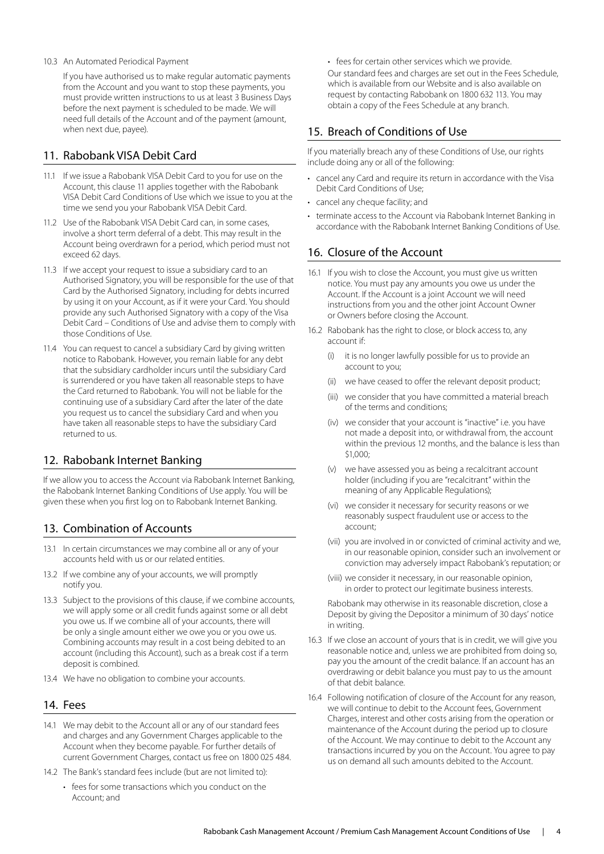10.3 An Automated Periodical Payment

If you have authorised us to make regular automatic payments from the Account and you want to stop these payments, you must provide written instructions to us at least 3 Business Days before the next payment is scheduled to be made. We will need full details of the Account and of the payment (amount, when next due, payee).

#### 11. Rabobank VISA Debit Card

- 11.1 If we issue a Rabobank VISA Debit Card to you for use on the Account, this clause 11 applies together with the Rabobank VISA Debit Card Conditions of Use which we issue to you at the time we send you your Rabobank VISA Debit Card.
- 11.2 Use of the Rabobank VISA Debit Card can, in some cases, involve a short term deferral of a debt. This may result in the Account being overdrawn for a period, which period must not exceed 62 days.
- 11.3 If we accept your request to issue a subsidiary card to an Authorised Signatory, you will be responsible for the use of that Card by the Authorised Signatory, including for debts incurred by using it on your Account, as if it were your Card. You should provide any such Authorised Signatory with a copy of the Visa Debit Card – Conditions of Use and advise them to comply with those Conditions of Use.
- 11.4 You can request to cancel a subsidiary Card by giving written notice to Rabobank. However, you remain liable for any debt that the subsidiary cardholder incurs until the subsidiary Card is surrendered or you have taken all reasonable steps to have the Card returned to Rabobank. You will not be liable for the continuing use of a subsidiary Card after the later of the date you request us to cancel the subsidiary Card and when you have taken all reasonable steps to have the subsidiary Card returned to us.

### 12. Rabobank Internet Banking

If we allow you to access the Account via Rabobank Internet Banking, the Rabobank Internet Banking Conditions of Use apply. You will be given these when you first log on to Rabobank Internet Banking.

# 13. Combination of Accounts

- 13.1 In certain circumstances we may combine all or any of your accounts held with us or our related entities.
- 13.2 If we combine any of your accounts, we will promptly notify you.
- 13.3 Subject to the provisions of this clause, if we combine accounts, we will apply some or all credit funds against some or all debt you owe us. If we combine all of your accounts, there will be only a single amount either we owe you or you owe us. Combining accounts may result in a cost being debited to an account (including this Account), such as a break cost if a term deposit is combined.
- 13.4 We have no obligation to combine your accounts.

#### 14. Fees

- 14.1 We may debit to the Account all or any of our standard fees and charges and any Government Charges applicable to the Account when they become payable. For further details of current Government Charges, contact us free on 1800 025 484.
- 14.2 The Bank's standard fees include (but are not limited to):
	- fees for some transactions which you conduct on the Account; and

• fees for certain other services which we provide. Our standard fees and charges are set out in the Fees Schedule, which is available from our Website and is also available on request by contacting Rabobank on 1800 632 113. You may obtain a copy of the Fees Schedule at any branch.

#### 15. Breach of Conditions of Use

If you materially breach any of these Conditions of Use, our rights include doing any or all of the following:

- cancel any Card and require its return in accordance with the Visa Debit Card Conditions of Use;
- cancel any cheque facility; and
- terminate access to the Account via Rabobank Internet Banking in accordance with the Rabobank Internet Banking Conditions of Use.

# 16. Closure of the Account

- 16.1 If you wish to close the Account, you must give us written notice. You must pay any amounts you owe us under the Account. If the Account is a joint Account we will need instructions from you and the other joint Account Owner or Owners before closing the Account.
- 16.2 Rabobank has the right to close, or block access to, any account if:
	- (i) it is no longer lawfully possible for us to provide an account to you;
	- (ii) we have ceased to offer the relevant deposit product;
	- (iii) we consider that you have committed a material breach of the terms and conditions;
	- (iv) we consider that your account is "inactive" i.e. you have not made a deposit into, or withdrawal from, the account within the previous 12 months, and the balance is less than  $$1,000$
	- (v) we have assessed you as being a recalcitrant account holder (including if you are "recalcitrant" within the meaning of any Applicable Regulations);
	- (vi) we consider it necessary for security reasons or we reasonably suspect fraudulent use or access to the account;
	- (vii) you are involved in or convicted of criminal activity and we, in our reasonable opinion, consider such an involvement or conviction may adversely impact Rabobank's reputation; or
	- (viii) we consider it necessary, in our reasonable opinion, in order to protect our legitimate business interests.

Rabobank may otherwise in its reasonable discretion, close a Deposit by giving the Depositor a minimum of 30 days' notice in writing.

- 16.3 If we close an account of yours that is in credit, we will give you reasonable notice and, unless we are prohibited from doing so, pay you the amount of the credit balance. If an account has an overdrawing or debit balance you must pay to us the amount of that debit balance.
- 16.4 Following notification of closure of the Account for any reason, we will continue to debit to the Account fees, Government Charges, interest and other costs arising from the operation or maintenance of the Account during the period up to closure of the Account. We may continue to debit to the Account any transactions incurred by you on the Account. You agree to pay us on demand all such amounts debited to the Account.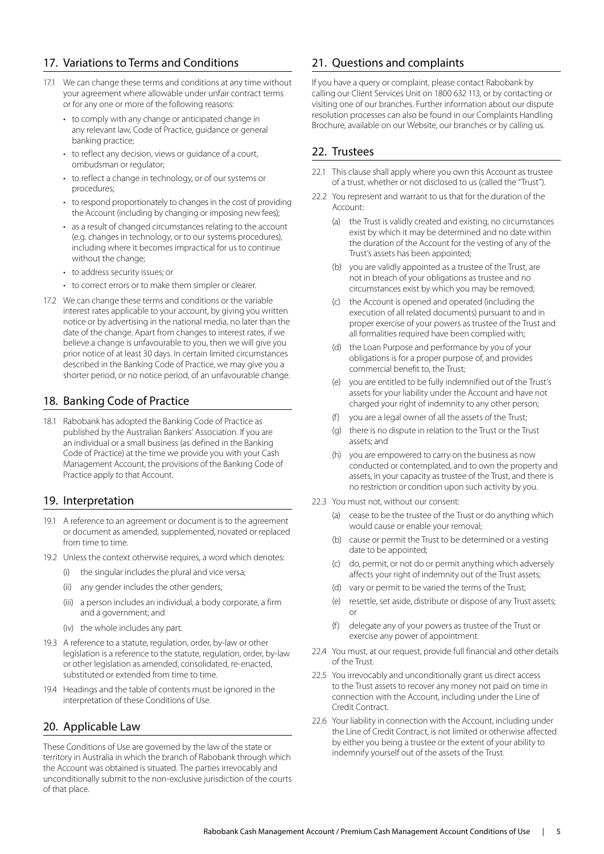#### 17. Variations to Terms and Conditions

- 17.1 We can change these terms and conditions at any time without your agreement where allowable under unfair contract terms or for any one or more of the following reasons:
	- to comply with any change or anticipated change in any relevant law, Code of Practice, guidance or general banking practice;
	- to reflect any decision, views or guidance of a court, ombudsman or regulator;
	- to reflect a change in technology, or of our systems or procedures;
	- to respond proportionately to changes in the cost of providing the Account (including by changing or imposing new fees);
	- as a result of changed circumstances relating to the account (e.g. changes in technology, or to our systems procedures), including where it becomes impractical for us to continue without the change;
	- to address security issues; or
	- to correct errors or to make them simpler or clearer.
- 17.2 We can change these terms and conditions or the variable interest rates applicable to your account, by giving you written notice or by advertising in the national media, no later than the date of the change. Apart from changes to interest rates, if we believe a change is unfavourable to you, then we will give you prior notice of at least 30 days. In certain limited circumstances described in the Banking Code of Practice, we may give you a shorter period, or no notice period, of an unfavourable change.

### 18. Banking Code of Practice

18.1 Rabobank has adopted the Banking Code of Practice as published by the Australian Bankers' Association. If you are an individual or a small business (as defined in the Banking Code of Practice) at the time we provide you with your Cash Management Account, the provisions of the Banking Code of Practice apply to that Account.

#### 19. Interpretation

- 19.1 A reference to an agreement or document is to the agreement or document as amended, supplemented, novated or replaced from time to time.
- 19.2 Unless the context otherwise requires, a word which denotes:
	- (i) the singular includes the plural and vice versa;
	- (ii) any gender includes the other genders;
	- (iii) a person includes an individual, a body corporate, a firm and a government; and
	- (iv) the whole includes any part.
- 19.3 A reference to a statute, regulation, order, by-law or other legislation is a reference to the statute, regulation, order, by-law or other legislation as amended, consolidated, re-enacted, substituted or extended from time to time.
- 19.4 Headings and the table of contents must be ignored in the interpretation of these Conditions of Use.

### 20. Applicable Law

These Conditions of Use are governed by the law of the state or territory in Australia in which the branch of Rabobank through which the Account was obtained is situated. The parties irrevocably and unconditionally submit to the non-exclusive jurisdiction of the courts of that place.

#### 21. Questions and complaints

If you have a query or complaint, please contact Rabobank by calling our Client Services Unit on 1800 632 113, or by contacting or visiting one of our branches. Further information about our dispute resolution processes can also be found in our Complaints Handling Brochure, available on our Website, our branches or by calling us.

#### 22. Trustees

- 22.1 This clause shall apply where you own this Account as trustee of a trust, whether or not disclosed to us (called the "Trust").
- 22.2 You represent and warrant to us that for the duration of the Account:
	- (a) the Trust is validly created and existing, no circumstances exist by which it may be determined and no date within the duration of the Account for the vesting of any of the Trust's assets has been appointed;
	- (b) you are validly appointed as a trustee of the Trust, are not in breach of your obligations as trustee and no circumstances exist by which you may be removed;
	- (c) the Account is opened and operated (including the execution of all related documents) pursuant to and in proper exercise of your powers as trustee of the Trust and all formalities required have been complied with;
	- (d) the Loan Purpose and performance by you of your obligations is for a proper purpose of, and provides commercial benefit to, the Trust;
	- (e) you are entitled to be fully indemnified out of the Trust's assets for your liability under the Account and have not charged your right of indemnity to any other person;
	- (f) you are a legal owner of all the assets of the Trust;
	- (g) there is no dispute in relation to the Trust or the Trust assets; and
	- (h) you are empowered to carry on the business as now conducted or contemplated, and to own the property and assets, in your capacity as trustee of the Trust, and there is no restriction or condition upon such activity by you.
- 22.3 You must not, without our consent:
	- (a) cease to be the trustee of the Trust or do anything which would cause or enable your removal;
	- (b) cause or permit the Trust to be determined or a vesting date to be appointed;
	- (c) do, permit, or not do or permit anything which adversely affects your right of indemnity out of the Trust assets;
	- (d) vary or permit to be varied the terms of the Trust;
	- (e) resettle, set aside, distribute or dispose of any Trust assets; or
	- (f) delegate any of your powers as trustee of the Trust or exercise any power of appointment.
- 22.4 You must, at our request, provide full financial and other details of the Trust.
- 22.5 You irrevocably and unconditionally grant us direct access to the Trust assets to recover any money not paid on time in connection with the Account, including under the Line of Credit Contract.
- 22.6 Your liability in connection with the Account, including under the Line of Credit Contract, is not limited or otherwise affected by either you being a trustee or the extent of your ability to indemnify yourself out of the assets of the Trust.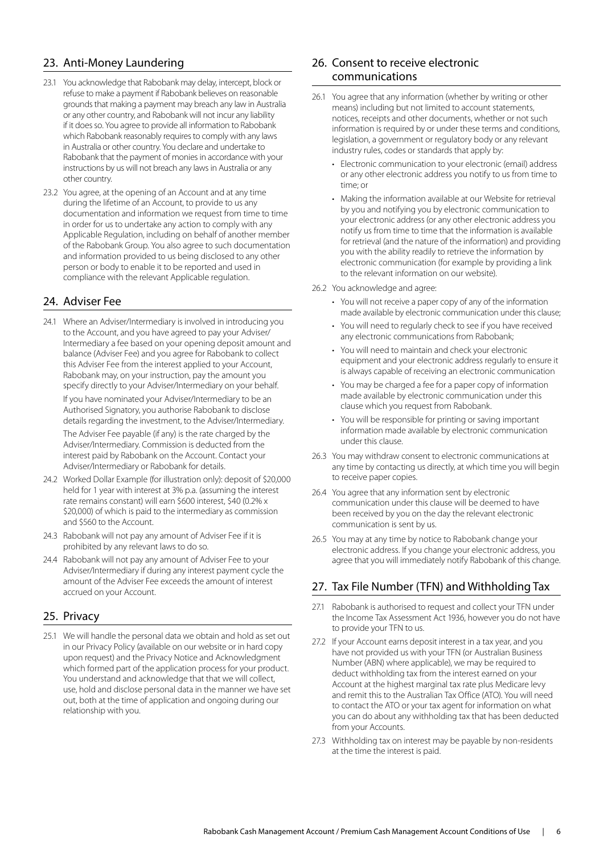## 23. Anti-Money Laundering

- 23.1 You acknowledge that Rabobank may delay, intercept, block or refuse to make a payment if Rabobank believes on reasonable grounds that making a payment may breach any law in Australia or any other country, and Rabobank will not incur any liability if it does so. You agree to provide all information to Rabobank which Rabobank reasonably requires to comply with any laws in Australia or other country. You declare and undertake to Rabobank that the payment of monies in accordance with your instructions by us will not breach any laws in Australia or any other country.
- 23.2 You agree, at the opening of an Account and at any time during the lifetime of an Account, to provide to us any documentation and information we request from time to time in order for us to undertake any action to comply with any Applicable Regulation, including on behalf of another member of the Rabobank Group. You also agree to such documentation and information provided to us being disclosed to any other person or body to enable it to be reported and used in compliance with the relevant Applicable regulation.

### 24. Adviser Fee

24.1 Where an Adviser/Intermediary is involved in introducing you to the Account, and you have agreed to pay your Adviser/ Intermediary a fee based on your opening deposit amount and balance (Adviser Fee) and you agree for Rabobank to collect this Adviser Fee from the interest applied to your Account, Rabobank may, on your instruction, pay the amount you specify directly to your Adviser/Intermediary on your behalf.

If you have nominated your Adviser/Intermediary to be an Authorised Signatory, you authorise Rabobank to disclose details regarding the investment, to the Adviser/Intermediary.

The Adviser Fee payable (if any) is the rate charged by the Adviser/Intermediary. Commission is deducted from the interest paid by Rabobank on the Account. Contact your Adviser/Intermediary or Rabobank for details.

- 24.2 Worked Dollar Example (for illustration only): deposit of \$20,000 held for 1 year with interest at 3% p.a. (assuming the interest rate remains constant) will earn \$600 interest, \$40 (0.2% x \$20,000) of which is paid to the intermediary as commission and \$560 to the Account.
- 24.3 Rabobank will not pay any amount of Adviser Fee if it is prohibited by any relevant laws to do so.
- 24.4 Rabobank will not pay any amount of Adviser Fee to your Adviser/Intermediary if during any interest payment cycle the amount of the Adviser Fee exceeds the amount of interest accrued on your Account.

### 25. Privacy

25.1 We will handle the personal data we obtain and hold as set out in our Privacy Policy (available on our website or in hard copy upon request) and the Privacy Notice and Acknowledgment which formed part of the application process for your product. You understand and acknowledge that that we will collect, use, hold and disclose personal data in the manner we have set out, both at the time of application and ongoing during our relationship with you.

#### 26. Consent to receive electronic communications

- 26.1 You agree that any information (whether by writing or other means) including but not limited to account statements, notices, receipts and other documents, whether or not such information is required by or under these terms and conditions, legislation, a government or regulatory body or any relevant industry rules, codes or standards that apply by:
	- Electronic communication to your electronic (email) address or any other electronic address you notify to us from time to time; or
	- Making the information available at our Website for retrieval by you and notifying you by electronic communication to your electronic address (or any other electronic address you notify us from time to time that the information is available for retrieval (and the nature of the information) and providing you with the ability readily to retrieve the information by electronic communication (for example by providing a link to the relevant information on our website).

#### 26.2 You acknowledge and agree:

- You will not receive a paper copy of any of the information made available by electronic communication under this clause;
- You will need to regularly check to see if you have received any electronic communications from Rabobank;
- You will need to maintain and check your electronic equipment and your electronic address regularly to ensure it is always capable of receiving an electronic communication
- You may be charged a fee for a paper copy of information made available by electronic communication under this clause which you request from Rabobank.
- You will be responsible for printing or saving important information made available by electronic communication under this clause.
- 26.3 You may withdraw consent to electronic communications at any time by contacting us directly, at which time you will begin to receive paper copies.
- 26.4 You agree that any information sent by electronic communication under this clause will be deemed to have been received by you on the day the relevant electronic communication is sent by us.
- 26.5 You may at any time by notice to Rabobank change your electronic address. If you change your electronic address, you agree that you will immediately notify Rabobank of this change.

#### 27. Tax File Number (TFN) and Withholding Tax

- 27.1 Rabobank is authorised to request and collect your TFN under the Income Tax Assessment Act 1936, however you do not have to provide your TFN to us.
- 27.2 If your Account earns deposit interest in a tax year, and you have not provided us with your TFN (or Australian Business Number (ABN) where applicable), we may be required to deduct withholding tax from the interest earned on your Account at the highest marginal tax rate plus Medicare levy and remit this to the Australian Tax Office (ATO). You will need to contact the ATO or your tax agent for information on what you can do about any withholding tax that has been deducted from your Accounts.
- 27.3 Withholding tax on interest may be payable by non-residents at the time the interest is paid.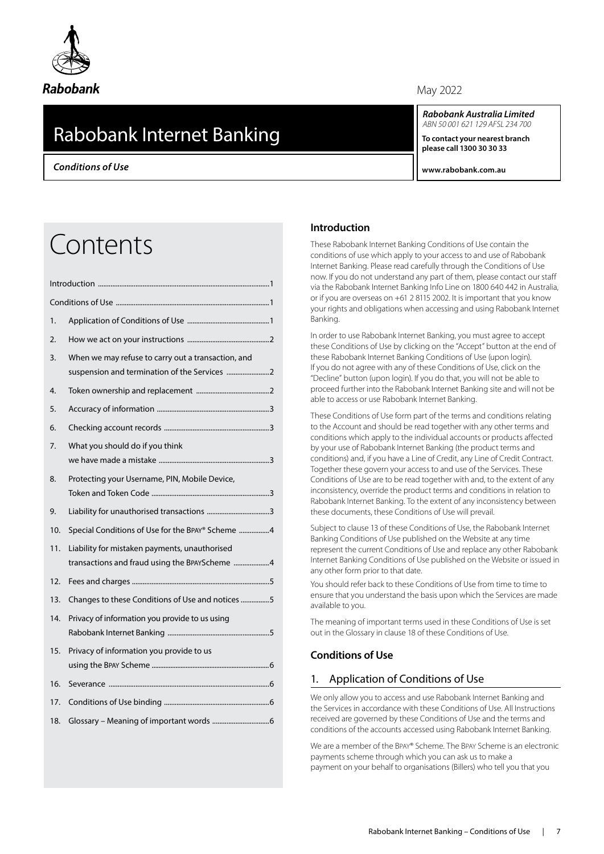

# Rabobank Internet Banking

*Conditions of Use* 

# Contents

| 1.  |                                                                                                  |  |
|-----|--------------------------------------------------------------------------------------------------|--|
| 2.  |                                                                                                  |  |
| 3.  | When we may refuse to carry out a transaction, and<br>suspension and termination of the Services |  |
| 4.  |                                                                                                  |  |
| 5.  |                                                                                                  |  |
| 6.  |                                                                                                  |  |
| 7.  | What you should do if you think                                                                  |  |
| 8.  | Protecting your Username, PIN, Mobile Device,                                                    |  |
| 9.  |                                                                                                  |  |
| 10. | Special Conditions of Use for the BPAY® Scheme 4                                                 |  |
| 11. | Liability for mistaken payments, unauthorised<br>transactions and fraud using the BPAYScheme 4   |  |
| 12. |                                                                                                  |  |
| 13. | Changes to these Conditions of Use and notices 5                                                 |  |
| 14. | Privacy of information you provide to us using                                                   |  |
| 15. | Privacy of information you provide to us                                                         |  |
| 16. |                                                                                                  |  |
| 17. |                                                                                                  |  |
| 18. |                                                                                                  |  |

# May 2022

*Rabobank Australia Limited ABN 50 001 621 129 AFSL 234 700* 

**To contact your nearest branch please call 1300 30 30 33**

**[www.rabobank.com.au](http://www.rabobank.com.au)**

### **Introduction**

These Rabobank Internet Banking Conditions of Use contain the conditions of use which apply to your access to and use of Rabobank Internet Banking. Please read carefully through the Conditions of Use now. If you do not understand any part of them, please contact our staff via the Rabobank Internet Banking Info Line on 1800 640 442 in Australia, or if you are overseas on +61 2 8115 2002. It is important that you know your rights and obligations when accessing and using Rabobank Internet Banking.

In order to use Rabobank Internet Banking, you must agree to accept these Conditions of Use by clicking on the "Accept" button at the end of these Rabobank Internet Banking Conditions of Use (upon login). If you do not agree with any of these Conditions of Use, click on the "Decline" button (upon login). If you do that, you will not be able to proceed further into the Rabobank Internet Banking site and will not be able to access or use Rabobank Internet Banking.

These Conditions of Use form part of the terms and conditions relating to the Account and should be read together with any other terms and conditions which apply to the individual accounts or products affected by your use of Rabobank Internet Banking (the product terms and conditions) and, if you have a Line of Credit, any Line of Credit Contract. Together these govern your access to and use of the Services. These Conditions of Use are to be read together with and, to the extent of any inconsistency, override the product terms and conditions in relation to Rabobank Internet Banking. To the extent of any inconsistency between these documents, these Conditions of Use will prevail.

Subject to clause 13 of these Conditions of Use, the Rabobank Internet Banking Conditions of Use published on the Website at any time represent the current Conditions of Use and replace any other Rabobank Internet Banking Conditions of Use published on the Website or issued in any other form prior to that date.

You should refer back to these Conditions of Use from time to time to ensure that you understand the basis upon which the Services are made available to you.

The meaning of important terms used in these Conditions of Use is set out in the Glossary in clause 18 of these Conditions of Use.

### **Conditions of Use**

### 1. Application of Conditions of Use

We only allow you to access and use Rabobank Internet Banking and the Services in accordance with these Conditions of Use. All Instructions received are governed by these Conditions of Use and the terms and conditions of the accounts accessed using Rabobank Internet Banking.

We are a member of the BPAY® Scheme. The BPAY Scheme is an electronic payments scheme through which you can ask us to make a payment on your behalf to organisations (Billers) who tell you that you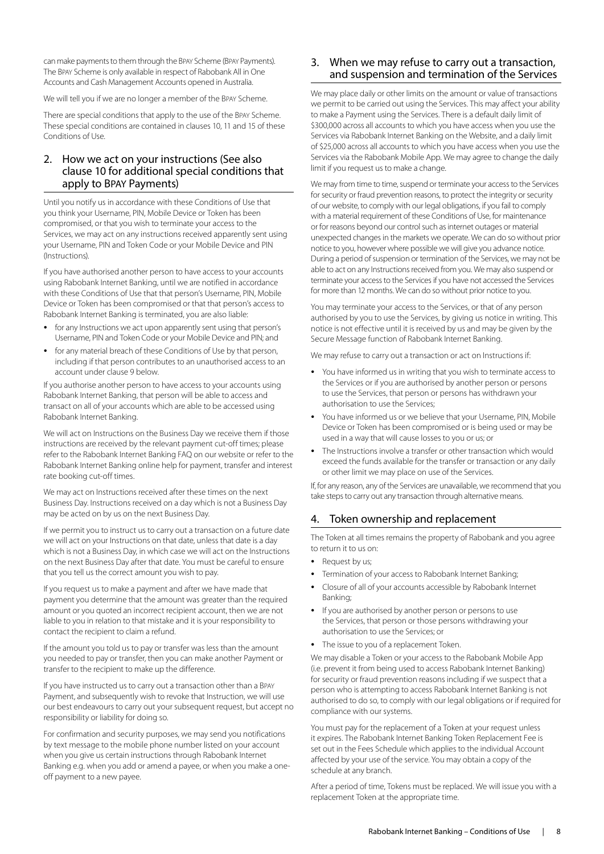can make payments to them through the BPAY Scheme (BPAY Payments). The BPAY Scheme is only available in respect of Rabobank All in One Accounts and Cash Management Accounts opened in Australia.

We will tell you if we are no longer a member of the BPAY Scheme.

There are special conditions that apply to the use of the BPAY Scheme. These special conditions are contained in clauses 10, 11 and 15 of these Conditions of Use.

#### 2. How we act on your instructions (See also clause 10 for additional special conditions that apply to BPAY Payments)

Until you notify us in accordance with these Conditions of Use that you think your Username, PIN, Mobile Device or Token has been compromised, or that you wish to terminate your access to the Services, we may act on any instructions received apparently sent using your Username, PIN and Token Code or your Mobile Device and PIN (Instructions).

If you have authorised another person to have access to your accounts using Rabobank Internet Banking, until we are notified in accordance with these Conditions of Use that that person's Username, PIN, Mobile Device or Token has been compromised or that that person's access to Rabobank Internet Banking is terminated, you are also liable:

- for any Instructions we act upon apparently sent using that person's Username, PIN and Token Code or your Mobile Device and PIN; and
- for any material breach of these Conditions of Use by that person, including if that person contributes to an unauthorised access to an account under clause 9 below.

If you authorise another person to have access to your accounts using Rabobank Internet Banking, that person will be able to access and transact on all of your accounts which are able to be accessed using Rabobank Internet Banking.

We will act on Instructions on the Business Day we receive them if those instructions are received by the relevant payment cut-off times; please refer to the Rabobank Internet Banking FAQ on our website or refer to the Rabobank Internet Banking online help for payment, transfer and interest rate booking cut-off times.

We may act on Instructions received after these times on the next Business Day. Instructions received on a day which is not a Business Day may be acted on by us on the next Business Day.

If we permit you to instruct us to carry out a transaction on a future date we will act on your Instructions on that date, unless that date is a day which is not a Business Day, in which case we will act on the Instructions on the next Business Day after that date. You must be careful to ensure that you tell us the correct amount you wish to pay.

If you request us to make a payment and after we have made that payment you determine that the amount was greater than the required amount or you quoted an incorrect recipient account, then we are not liable to you in relation to that mistake and it is your responsibility to contact the recipient to claim a refund.

If the amount you told us to pay or transfer was less than the amount you needed to pay or transfer, then you can make another Payment or transfer to the recipient to make up the difference.

If you have instructed us to carry out a transaction other than a BPAY Payment, and subsequently wish to revoke that Instruction, we will use our best endeavours to carry out your subsequent request, but accept no responsibility or liability for doing so.

For confirmation and security purposes, we may send you notifications by text message to the mobile phone number listed on your account when you give us certain instructions through Rabobank Internet Banking e.g. when you add or amend a payee, or when you make a oneoff payment to a new payee.

#### 3. When we may refuse to carry out a transaction, and suspension and termination of the Services

We may place daily or other limits on the amount or value of transactions we permit to be carried out using the Services. This may affect your ability to make a Payment using the Services. There is a default daily limit of \$300,000 across all accounts to which you have access when you use the Services via Rabobank Internet Banking on the Website, and a daily limit of \$25,000 across all accounts to which you have access when you use the Services via the Rabobank Mobile App. We may agree to change the daily limit if you request us to make a change.

We may from time to time, suspend or terminate your access to the Services for security or fraud prevention reasons, to protect the integrity or security of our website, to comply with our legal obligations, if you fail to comply with a material requirement of these Conditions of Use, for maintenance or for reasons beyond our control such as internet outages or material unexpected changes in the markets we operate. We can do so without prior notice to you, however where possible we will give you advance notice. During a period of suspension or termination of the Services, we may not be able to act on any Instructions received from you. We may also suspend or terminate your access to the Services if you have not accessed the Services for more than 12 months. We can do so without prior notice to you.

You may terminate your access to the Services, or that of any person authorised by you to use the Services, by giving us notice in writing. This notice is not effective until it is received by us and may be given by the Secure Message function of Rabobank Internet Banking.

We may refuse to carry out a transaction or act on Instructions if:

- You have informed us in writing that you wish to terminate access to the Services or if you are authorised by another person or persons to use the Services, that person or persons has withdrawn your authorisation to use the Services;
- You have informed us or we believe that your Username, PIN, Mobile Device or Token has been compromised or is being used or may be used in a way that will cause losses to you or us; or
- The Instructions involve a transfer or other transaction which would exceed the funds available for the transfer or transaction or any daily or other limit we may place on use of the Services.

If, for any reason, any of the Services are unavailable, we recommend that you take steps to carry out any transaction through alternative means.

# 4. Token ownership and replacement

The Token at all times remains the property of Rabobank and you agree to return it to us on:

- Request by us:
- Termination of your access to Rabobank Internet Banking;
- Closure of all of your accounts accessible by Rabobank Internet Banking;
- If you are authorised by another person or persons to use the Services, that person or those persons withdrawing your authorisation to use the Services; or
- The issue to you of a replacement Token.

We may disable a Token or your access to the Rabobank Mobile App (i.e. prevent it from being used to access Rabobank Internet Banking) for security or fraud prevention reasons including if we suspect that a person who is attempting to access Rabobank Internet Banking is not authorised to do so, to comply with our legal obligations or if required for compliance with our systems.

You must pay for the replacement of a Token at your request unless it expires. The Rabobank Internet Banking Token Replacement Fee is set out in the Fees Schedule which applies to the individual Account affected by your use of the service. You may obtain a copy of the schedule at any branch.

After a period of time, Tokens must be replaced. We will issue you with a replacement Token at the appropriate time.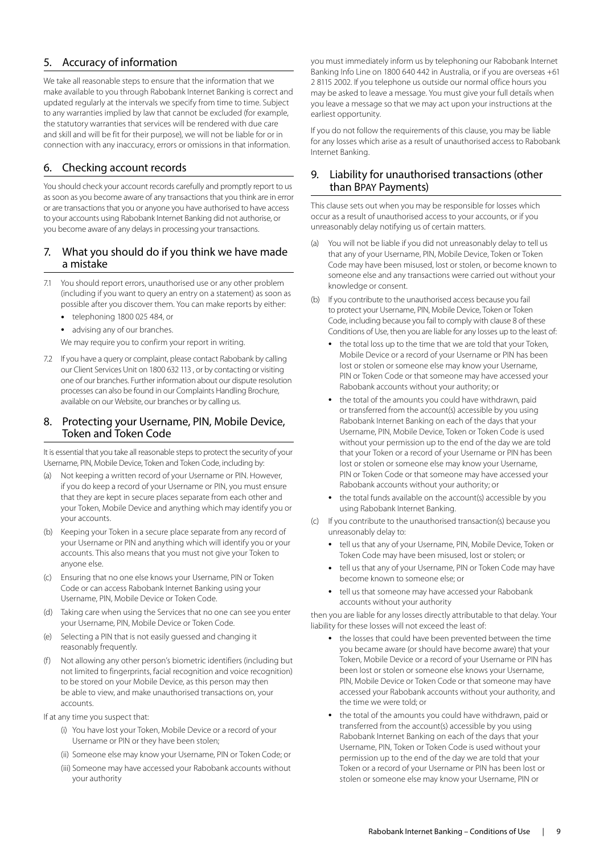# 5. Accuracy of information

We take all reasonable steps to ensure that the information that we make available to you through Rabobank Internet Banking is correct and updated regularly at the intervals we specify from time to time. Subject to any warranties implied by law that cannot be excluded (for example, the statutory warranties that services will be rendered with due care and skill and will be fit for their purpose), we will not be liable for or in connection with any inaccuracy, errors or omissions in that information.

## 6. Checking account records

You should check your account records carefully and promptly report to us as soon as you become aware of any transactions that you think are in error or are transactions that you or anyone you have authorised to have access to your accounts using Rabobank Internet Banking did not authorise, or you become aware of any delays in processing your transactions.

#### 7. What you should do if you think we have made a mistake

- 7.1 You should report errors, unauthorised use or any other problem (including if you want to query an entry on a statement) as soon as possible after you discover them. You can make reports by either:
	- telephoning 1800 025 484, or
	- advising any of our branches.

We may require you to confirm your report in writing.

7.2 If you have a query or complaint, please contact Rabobank by calling our Client Services Unit on 1800 632 113 , or by contacting or visiting one of our branches. Further information about our dispute resolution processes can also be found in our Complaints Handling Brochure, available on our Website, our branches or by calling us.

#### 8. Protecting your Username, PIN, Mobile Device, Token and Token Code

It is essential that you take all reasonable steps to protect the security of your Username, PIN, Mobile Device, Token and Token Code, including by:

- (a) Not keeping a written record of your Username or PIN. However, if you do keep a record of your Username or PIN, you must ensure that they are kept in secure places separate from each other and your Token, Mobile Device and anything which may identify you or your accounts.
- (b) Keeping your Token in a secure place separate from any record of your Username or PIN and anything which will identify you or your accounts. This also means that you must not give your Token to anyone else.
- (c) Ensuring that no one else knows your Username, PIN or Token Code or can access Rabobank Internet Banking using your Username, PIN, Mobile Device or Token Code.
- (d) Taking care when using the Services that no one can see you enter your Username, PIN, Mobile Device or Token Code.
- (e) Selecting a PIN that is not easily guessed and changing it reasonably frequently.
- (f) Not allowing any other person's biometric identifiers (including but not limited to fingerprints, facial recognition and voice recognition) to be stored on your Mobile Device, as this person may then be able to view, and make unauthorised transactions on, your accounts.

If at any time you suspect that:

- (i) You have lost your Token, Mobile Device or a record of your Username or PIN or they have been stolen;
- (ii) Someone else may know your Username, PIN or Token Code; or
- (iii) Someone may have accessed your Rabobank accounts without your authority

you must immediately inform us by telephoning our Rabobank Internet Banking Info Line on 1800 640 442 in Australia, or if you are overseas +61 2 8115 2002. If you telephone us outside our normal office hours you may be asked to leave a message. You must give your full details when you leave a message so that we may act upon your instructions at the earliest opportunity.

If you do not follow the requirements of this clause, you may be liable for any losses which arise as a result of unauthorised access to Rabobank Internet Banking.

#### 9. Liability for unauthorised transactions (other than BPAY Payments)

This clause sets out when you may be responsible for losses which occur as a result of unauthorised access to your accounts, or if you unreasonably delay notifying us of certain matters.

- (a) You will not be liable if you did not unreasonably delay to tell us that any of your Username, PIN, Mobile Device, Token or Token Code may have been misused, lost or stolen, or become known to someone else and any transactions were carried out without your knowledge or consent.
- (b) If you contribute to the unauthorised access because you fail to protect your Username, PIN, Mobile Device, Token or Token Code, including because you fail to comply with clause 8 of these Conditions of Use, then you are liable for any losses up to the least of:
	- the total loss up to the time that we are told that your Token, Mobile Device or a record of your Username or PIN has been lost or stolen or someone else may know your Username, PIN or Token Code or that someone may have accessed your Rabobank accounts without your authority; or
	- the total of the amounts you could have withdrawn, paid or transferred from the account(s) accessible by you using Rabobank Internet Banking on each of the days that your Username, PIN, Mobile Device, Token or Token Code is used without your permission up to the end of the day we are told that your Token or a record of your Username or PIN has been lost or stolen or someone else may know your Username, PIN or Token Code or that someone may have accessed your Rabobank accounts without your authority; or
	- the total funds available on the account(s) accessible by you using Rabobank Internet Banking.
- (c) If you contribute to the unauthorised transaction(s) because you unreasonably delay to:
	- tell us that any of your Username, PIN, Mobile Device, Token or Token Code may have been misused, lost or stolen; or
	- tell us that any of your Username, PIN or Token Code may have become known to someone else; or
	- tell us that someone may have accessed your Rabobank accounts without your authority

then you are liable for any losses directly attributable to that delay. Your liability for these losses will not exceed the least of:

- the losses that could have been prevented between the time you became aware (or should have become aware) that your Token, Mobile Device or a record of your Username or PIN has been lost or stolen or someone else knows your Username, PIN, Mobile Device or Token Code or that someone may have accessed your Rabobank accounts without your authority, and the time we were told; or
- the total of the amounts you could have withdrawn, paid or transferred from the account(s) accessible by you using Rabobank Internet Banking on each of the days that your Username, PIN, Token or Token Code is used without your permission up to the end of the day we are told that your Token or a record of your Username or PIN has been lost or stolen or someone else may know your Username, PIN or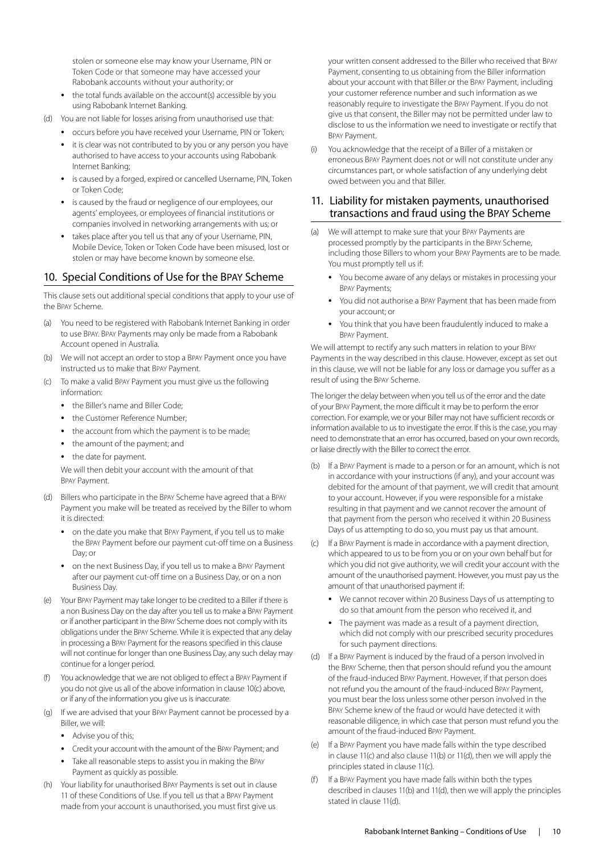stolen or someone else may know your Username, PIN or Token Code or that someone may have accessed your Rabobank accounts without your authority; or

- the total funds available on the account(s) accessible by you using Rabobank Internet Banking.
- (d) You are not liable for losses arising from unauthorised use that:
	- occurs before you have received your Username, PIN or Token;
	- it is clear was not contributed to by you or any person you have authorised to have access to your accounts using Rabobank Internet Banking;
	- is caused by a forged, expired or cancelled Username, PIN, Token or Token Code;
	- is caused by the fraud or negligence of our employees, our agents' employees, or employees of financial institutions or companies involved in networking arrangements with us; or
	- takes place after you tell us that any of your Username, PIN, Mobile Device, Token or Token Code have been misused, lost or stolen or may have become known by someone else.

### 10. Special Conditions of Use for the BPAY Scheme

This clause sets out additional special conditions that apply to your use of the BPAY Scheme.

- (a) You need to be registered with Rabobank Internet Banking in order to use BPAY. BPAY Payments may only be made from a Rabobank Account opened in Australia.
- (b) We will not accept an order to stop a BPAY Payment once you have instructed us to make that BPAY Payment.
- (c) To make a valid BPAY Payment you must give us the following information:
	- the Biller's name and Biller Code;
	- the Customer Reference Number:
	- the account from which the payment is to be made;
	- the amount of the payment; and
	- the date for payment.

We will then debit your account with the amount of that BPAY Payment.

- (d) Billers who participate in the BPAY Scheme have agreed that a BPAY Payment you make will be treated as received by the Biller to whom it is directed:
	- on the date you make that BPAY Payment, if you tell us to make the BPAY Payment before our payment cut-off time on a Business Day; or
	- on the next Business Day, if you tell us to make a BPAY Payment after our payment cut-off time on a Business Day, or on a non Business Day.
- (e) Your BPAY Payment may take longer to be credited to a Biller if there is a non Business Day on the day after you tell us to make a BPAY Payment or if another participant in the BPAY Scheme does not comply with its obligations under the BPAY Scheme. While it is expected that any delay in processing a BPAY Payment for the reasons specified in this clause will not continue for longer than one Business Day, any such delay may continue for a longer period.
- You acknowledge that we are not obliged to effect a BPAY Payment if you do not give us all of the above information in clause 10(c) above, or if any of the information you give us is inaccurate.
- (g) If we are advised that your BPAY Payment cannot be processed by a Biller, we will:
	- Advise you of this;
	- Credit your account with the amount of the BPAY Payment; and
	- Take all reasonable steps to assist you in making the BPAY Payment as quickly as possible.
- (h) Your liability for unauthorised BPAY Payments is set out in clause 11 of these Conditions of Use. If you tell us that a BPAY Payment made from your account is unauthorised, you must first give us

your written consent addressed to the Biller who received that BPAY Payment, consenting to us obtaining from the Biller information about your account with that Biller or the BPAY Payment, including your customer reference number and such information as we reasonably require to investigate the BPAY Payment. If you do not give us that consent, the Biller may not be permitted under law to disclose to us the information we need to investigate or rectify that BPAY Payment.

(i) You acknowledge that the receipt of a Biller of a mistaken or erroneous BPAY Payment does not or will not constitute under any circumstances part, or whole satisfaction of any underlying debt owed between you and that Biller.

#### 11. Liability for mistaken payments, unauthorised transactions and fraud using the BPAY Scheme

- (a) We will attempt to make sure that your BPAY Payments are processed promptly by the participants in the BPAY Scheme, including those Billers to whom your BPAY Payments are to be made. You must promptly tell us if:
	- You become aware of any delays or mistakes in processing your BPAY Payments;
	- You did not authorise a BPAY Payment that has been made from your account; or
	- You think that you have been fraudulently induced to make a BPAY Payment.

We will attempt to rectify any such matters in relation to your BPAY Payments in the way described in this clause. However, except as set out in this clause, we will not be liable for any loss or damage you suffer as a result of using the BPAY Scheme.

The longer the delay between when you tell us of the error and the date of your BPAY Payment, the more difficult it may be to perform the error correction. For example, we or your Biller may not have sufficient records or information available to us to investigate the error. If this is the case, you may need to demonstrate that an error has occurred, based on your own records, or liaise directly with the Biller to correct the error.

- (b) If a BPAY Payment is made to a person or for an amount, which is not in accordance with your instructions (if any), and your account was debited for the amount of that payment, we will credit that amount to your account. However, if you were responsible for a mistake resulting in that payment and we cannot recover the amount of that payment from the person who received it within 20 Business Days of us attempting to do so, you must pay us that amount.
- (c) If a BPAY Payment is made in accordance with a payment direction, which appeared to us to be from you or on your own behalf but for which you did not give authority, we will credit your account with the amount of the unauthorised payment. However, you must pay us the amount of that unauthorised payment if:
	- We cannot recover within 20 Business Days of us attempting to do so that amount from the person who received it, and
	- The payment was made as a result of a payment direction, which did not comply with our prescribed security procedures for such payment directions.
- (d) If a BPAY Payment is induced by the fraud of a person involved in the BPAY Scheme, then that person should refund you the amount of the fraud-induced BPAY Payment. However, if that person does not refund you the amount of the fraud-induced BPAY Payment, you must bear the loss unless some other person involved in the BPAY Scheme knew of the fraud or would have detected it with reasonable diligence, in which case that person must refund you the amount of the fraud-induced BPAY Payment.
- (e) If a BPAY Payment you have made falls within the type described in clause 11(c) and also clause 11(b) or 11(d), then we will apply the principles stated in clause 11(c).
- If a BPAY Payment you have made falls within both the types described in clauses 11(b) and 11(d), then we will apply the principles stated in clause 11(d).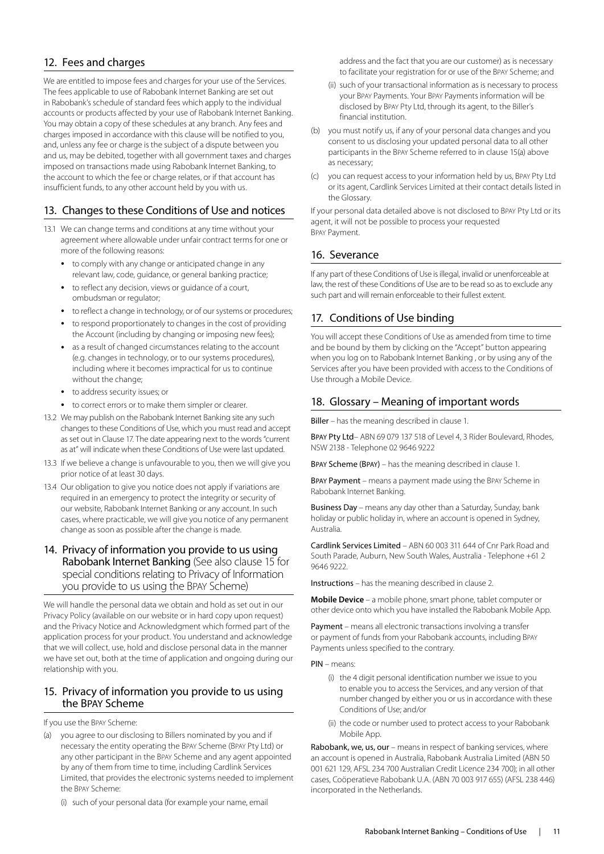## 12. Fees and charges

We are entitled to impose fees and charges for your use of the Services. The fees applicable to use of Rabobank Internet Banking are set out in Rabobank's schedule of standard fees which apply to the individual accounts or products affected by your use of Rabobank Internet Banking. You may obtain a copy of these schedules at any branch. Any fees and charges imposed in accordance with this clause will be notified to you, and, unless any fee or charge is the subject of a dispute between you and us, may be debited, together with all government taxes and charges imposed on transactions made using Rabobank Internet Banking, to the account to which the fee or charge relates, or if that account has insufficient funds, to any other account held by you with us.

## 13. Changes to these Conditions of Use and notices

- 13.1 We can change terms and conditions at any time without your agreement where allowable under unfair contract terms for one or more of the following reasons:
	- to comply with any change or anticipated change in any relevant law, code, guidance, or general banking practice;
	- to reflect any decision, views or guidance of a court, ombudsman or regulator;
	- to reflect a change in technology, or of our systems or procedures;
	- to respond proportionately to changes in the cost of providing the Account (including by changing or imposing new fees);
	- as a result of changed circumstances relating to the account (e.g. changes in technology, or to our systems procedures), including where it becomes impractical for us to continue without the change:
	- to address security issues; or
	- to correct errors or to make them simpler or clearer.
- 13.2 We may publish on the Rabobank Internet Banking site any such changes to these Conditions of Use, which you must read and accept as set out in Clause 17. The date appearing next to the words "current as at" will indicate when these Conditions of Use were last updated.
- 13.3 If we believe a change is unfavourable to you, then we will give you prior notice of at least 30 days.
- 13.4 Our obligation to give you notice does not apply if variations are required in an emergency to protect the integrity or security of our website, Rabobank Internet Banking or any account. In such cases, where practicable, we will give you notice of any permanent change as soon as possible after the change is made.

#### 14. Privacy of information you provide to us using Rabobank Internet Banking (See also clause 15 for special conditions relating to Privacy of Information you provide to us using the BPAY Scheme)

We will handle the personal data we obtain and hold as set out in our Privacy Policy (available on our website or in hard copy upon request) and the Privacy Notice and Acknowledgment which formed part of the application process for your product. You understand and acknowledge that we will collect, use, hold and disclose personal data in the manner we have set out, both at the time of application and ongoing during our relationship with you.

#### 15. Privacy of information you provide to us using the BPAY Scheme

If you use the BPAY Scheme:

- (a) you agree to our disclosing to Billers nominated by you and if necessary the entity operating the BPAY Scheme (BPAY Pty Ltd) or any other participant in the BPAY Scheme and any agent appointed by any of them from time to time, including Cardlink Services Limited, that provides the electronic systems needed to implement the BPAY Scheme:
	- (i) such of your personal data (for example your name, email

address and the fact that you are our customer) as is necessary to facilitate your registration for or use of the BPAY Scheme; and

- (ii) such of your transactional information as is necessary to process your BPAY Payments. Your BPAY Payments information will be disclosed by BPAY Pty Ltd, through its agent, to the Biller's financial institution.
- (b) you must notify us, if any of your personal data changes and you consent to us disclosing your updated personal data to all other participants in the BPAY Scheme referred to in clause 15(a) above as necessary;
- (c) you can request access to your information held by us, BPAY Pty Ltd or its agent, Cardlink Services Limited at their contact details listed in the Glossary.

If your personal data detailed above is not disclosed to BPAY Pty Ltd or its agent, it will not be possible to process your requested BPAY Payment.

# 16. Severance

If any part of these Conditions of Use is illegal, invalid or unenforceable at law, the rest of these Conditions of Use are to be read so as to exclude any such part and will remain enforceable to their fullest extent.

# 17. Conditions of Use binding

You will accept these Conditions of Use as amended from time to time and be bound by them by clicking on the "Accept" button appearing when you log on to Rabobank Internet Banking , or by using any of the Services after you have been provided with access to the Conditions of Use through a Mobile Device.

### 18. Glossary – Meaning of important words

Biller – has the meaning described in clause 1.

BPAY Pty Ltd– ABN 69 079 137 518 of Level 4, 3 Rider Boulevard, Rhodes, NSW 2138 - Telephone 02 9646 9222

BPAY Scheme (BPAY) – has the meaning described in clause 1.

BPAY Payment – means a payment made using the BPAY Scheme in Rabobank Internet Banking.

Business Day – means any day other than a Saturday, Sunday, bank holiday or public holiday in, where an account is opened in Sydney, Australia.

Cardlink Services Limited – ABN 60 003 311 644 of Cnr Park Road and South Parade, Auburn, New South Wales, Australia - Telephone +61 2 9646 9222

Instructions – has the meaning described in clause 2.

**Mobile Device** – a mobile phone, smart phone, tablet computer or other device onto which you have installed the Rabobank Mobile App.

Payment – means all electronic transactions involving a transfer or payment of funds from your Rabobank accounts, including BPAY Payments unless specified to the contrary.

PIN – means:

- (i) the 4 digit personal identification number we issue to you to enable you to access the Services, and any version of that number changed by either you or us in accordance with these Conditions of Use; and/or
- (ii) the code or number used to protect access to your Rabobank Mobile App.

Rabobank, we, us, our – means in respect of banking services, where an account is opened in Australia, Rabobank Australia Limited (ABN 50 001 621 129, AFSL 234 700 Australian Credit Licence 234 700); in all other cases, Coöperatieve Rabobank U.A. (ABN 70 003 917 655) (AFSL 238 446) incorporated in the Netherlands.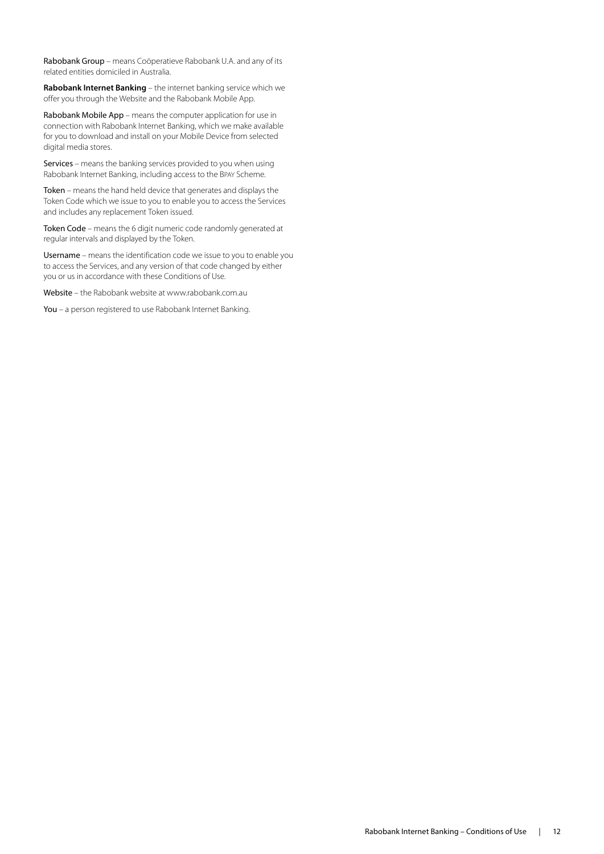Rabobank Group – means Coöperatieve Rabobank U.A. and any of its related entities domiciled in Australia.

**Rabobank Internet Banking** – the internet banking service which we offer you through the Website and the Rabobank Mobile App.

Rabobank Mobile App – means the computer application for use in connection with Rabobank Internet Banking, which we make available for you to download and install on your Mobile Device from selected digital media stores.

Services – means the banking services provided to you when using Rabobank Internet Banking, including access to the BPAY Scheme.

Token – means the hand held device that generates and displays the Token Code which we issue to you to enable you to access the Services and includes any replacement Token issued.

Token Code – means the 6 digit numeric code randomly generated at regular intervals and displayed by the Token.

Username – means the identification code we issue to you to enable you to access the Services, and any version of that code changed by either you or us in accordance with these Conditions of Use.

Website – the Rabobank website at www.rabobank.com.au

You – a person registered to use Rabobank Internet Banking.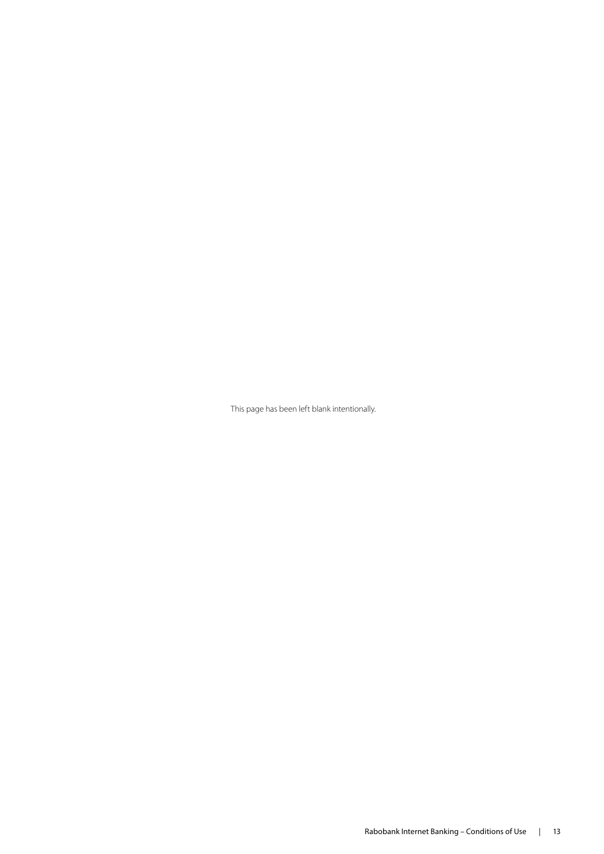This page has been left blank intentionally.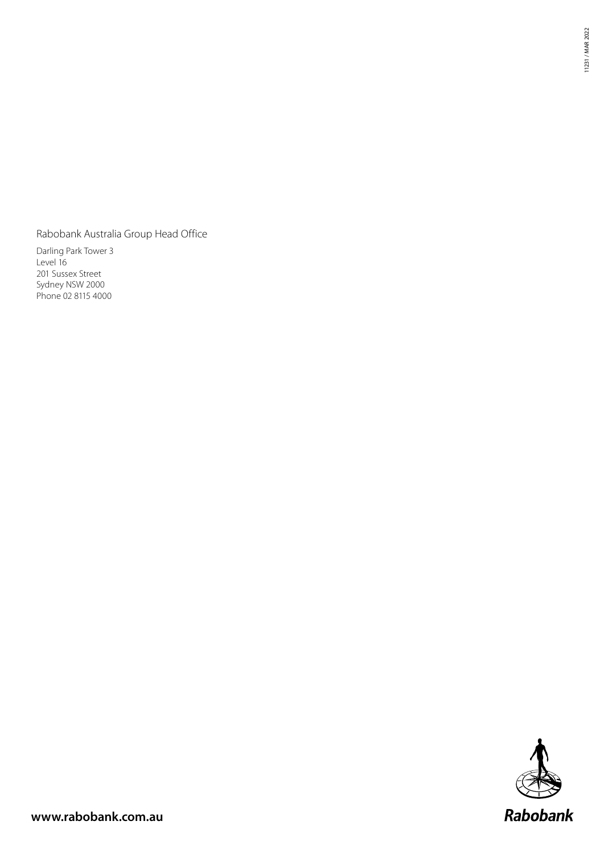Rabobank Australia Group Head Office

Darling Park Tower 3 Level 16 201 Sussex Street Sydney NSW 2000 Phone 02 8115 4000

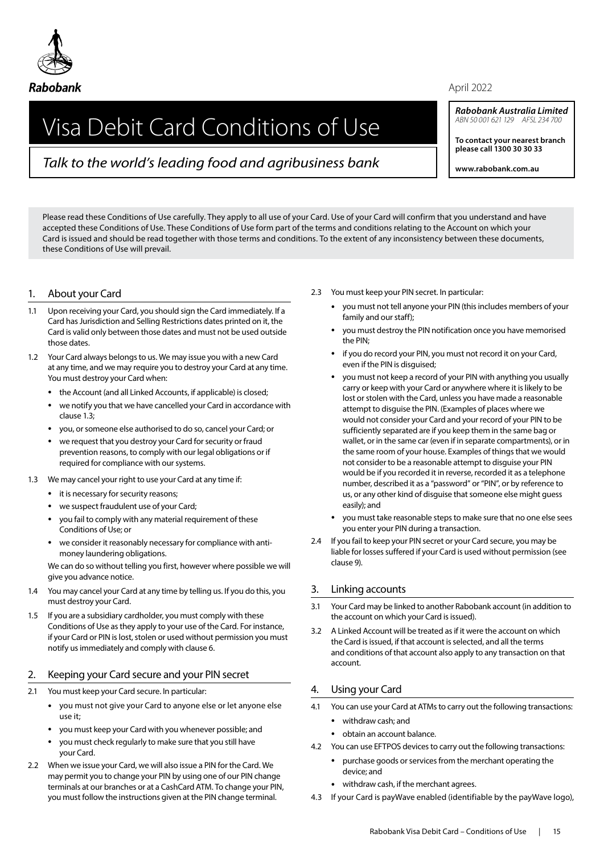

# Visa Debit Card Conditions of Use

*Talk to the world's leading food and agribusiness bank*

April 2022

*Rabobank Australia Limited ABN 50 001 621 129 AFSL 234 700*

**To contact your nearest branch please call 1300 30 30 33**

**[www.rabobank.com.au](http://www.rabobank.com.au)**

Please read these Conditions of Use carefully. They apply to all use of your Card. Use of your Card will confirm that you understand and have accepted these Conditions of Use. These Conditions of Use form part of the terms and conditions relating to the Account on which your Card is issued and should be read together with those terms and conditions. To the extent of any inconsistency between these documents, these Conditions of Use will prevail.

#### 1. About your Card

- 1.1 Upon receiving your Card, you should sign the Card immediately. If a Card has Jurisdiction and Selling Restrictions dates printed on it, the Card is valid only between those dates and must not be used outside those dates.
- 1.2 Your Card always belongs to us. We may issue you with a new Card at any time, and we may require you to destroy your Card at any time. You must destroy your Card when:
	- the Account (and all Linked Accounts, if applicable) is closed;
	- we notify you that we have cancelled your Card in accordance with clause 1.3;
	- you, or someone else authorised to do so, cancel your Card; or
	- we request that you destroy your Card for security or fraud prevention reasons, to comply with our legal obligations or if required for compliance with our systems.
- 1.3 We may cancel your right to use your Card at any time if:
	- it is necessary for security reasons;
	- we suspect fraudulent use of your Card;
	- you fail to comply with any material requirement of these Conditions of Use; or
	- we consider it reasonably necessary for compliance with antimoney laundering obligations.

We can do so without telling you first, however where possible we will give you advance notice.

- 1.4 You may cancel your Card at any time by telling us. If you do this, you must destroy your Card.
- 1.5 If you are a subsidiary cardholder, you must comply with these Conditions of Use as they apply to your use of the Card. For instance, if your Card or PIN is lost, stolen or used without permission you must notify us immediately and comply with clause 6.

#### 2. Keeping your Card secure and your PIN secret

- 2.1 You must keep your Card secure. In particular:
	- you must not give your Card to anyone else or let anyone else use it;
	- you must keep your Card with you whenever possible; and
	- you must check regularly to make sure that you still have your Card.
- 2.2 When we issue your Card, we will also issue a PIN for the Card. We may permit you to change your PIN by using one of our PIN change terminals at our branches or at a CashCard ATM. To change your PIN, you must follow the instructions given at the PIN change terminal.
- 2.3 You must keep your PIN secret. In particular:
	- you must not tell anyone your PIN (this includes members of your family and our staff);
	- you must destroy the PIN notification once you have memorised the PIN;
	- if you do record your PIN, you must not record it on your Card, even if the PIN is disguised;
	- you must not keep a record of your PIN with anything you usually carry or keep with your Card or anywhere where it is likely to be lost or stolen with the Card, unless you have made a reasonable attempt to disguise the PIN. (Examples of places where we would not consider your Card and your record of your PIN to be sufficiently separated are if you keep them in the same bag or wallet, or in the same car (even if in separate compartments), or in the same room of your house. Examples of things that we would not consider to be a reasonable attempt to disguise your PIN would be if you recorded it in reverse, recorded it as a telephone number, described it as a "password" or "PIN", or by reference to us, or any other kind of disguise that someone else might guess easily); and
	- you must take reasonable steps to make sure that no one else sees you enter your PIN during a transaction.
- 2.4 If you fail to keep your PIN secret or your Card secure, you may be liable for losses suffered if your Card is used without permission (see clause 9).

#### 3. Linking accounts

- 3.1 Your Card may be linked to another Rabobank account (in addition to the account on which your Card is issued).
- 3.2 A Linked Account will be treated as if it were the account on which the Card is issued, if that account is selected, and all the terms and conditions of that account also apply to any transaction on that account.

#### 4. Using your Card

- 4.1 You can use your Card at ATMs to carry out the following transactions:
	- withdraw cash; and
	- obtain an account balance.
- 4.2 You can use EFTPOS devices to carry out the following transactions:
	- purchase goods or services from the merchant operating the device; and
	- withdraw cash, if the merchant agrees.
- 4.3 If your Card is payWave enabled (identifiable by the payWave logo),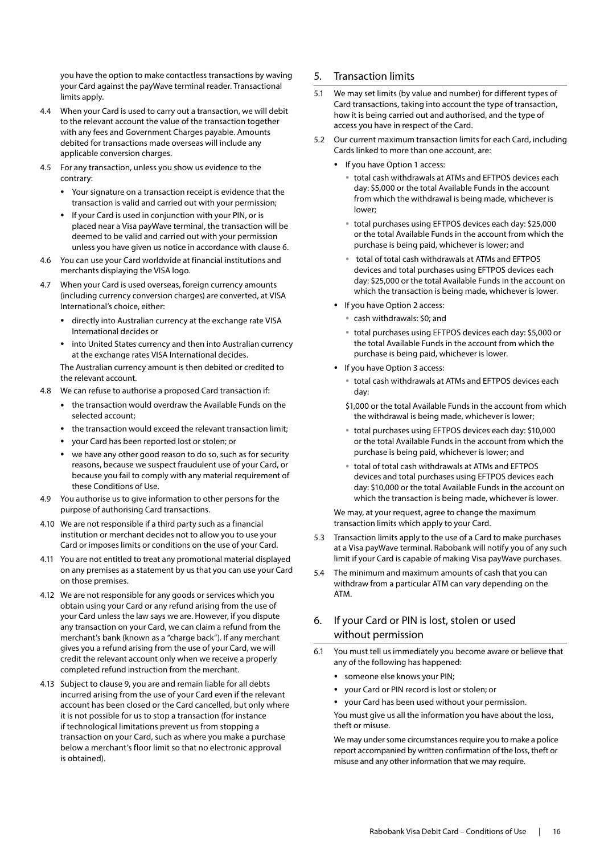you have the option to make contactless transactions by waving your Card against the payWave terminal reader. Transactional limits apply.

- 4.4 When your Card is used to carry out a transaction, we will debit to the relevant account the value of the transaction together with any fees and Government Charges payable. Amounts debited for transactions made overseas will include any applicable conversion charges.
- 4.5 For any transaction, unless you show us evidence to the contrary:
	- Your signature on a transaction receipt is evidence that the transaction is valid and carried out with your permission;
	- If your Card is used in conjunction with your PIN, or is placed near a Visa payWave terminal, the transaction will be deemed to be valid and carried out with your permission unless you have given us notice in accordance with clause 6.
- 4.6 You can use your Card worldwide at financial institutions and merchants displaying the VISA logo.
- 4.7 When your Card is used overseas, foreign currency amounts (including currency conversion charges) are converted, at VISA International's choice, either:
	- directly into Australian currency at the exchange rate VISA International decides or
	- into United States currency and then into Australian currency at the exchange rates VISA International decides.

The Australian currency amount is then debited or credited to the relevant account.

- 4.8 We can refuse to authorise a proposed Card transaction if:
	- the transaction would overdraw the Available Funds on the selected account;
	- the transaction would exceed the relevant transaction limit;
	- vour Card has been reported lost or stolen; or
	- we have any other good reason to do so, such as for security reasons, because we suspect fraudulent use of your Card, or because you fail to comply with any material requirement of these Conditions of Use.
- 4.9 You authorise us to give information to other persons for the purpose of authorising Card transactions.
- 4.10 We are not responsible if a third party such as a financial institution or merchant decides not to allow you to use your Card or imposes limits or conditions on the use of your Card.
- 4.11 You are not entitled to treat any promotional material displayed on any premises as a statement by us that you can use your Card on those premises.
- 4.12 We are not responsible for any goods or services which you obtain using your Card or any refund arising from the use of your Card unless the law says we are. However, if you dispute any transaction on your Card, we can claim a refund from the merchant's bank (known as a "charge back"). If any merchant gives you a refund arising from the use of your Card, we will credit the relevant account only when we receive a properly completed refund instruction from the merchant.
- 4.13 Subject to clause 9, you are and remain liable for all debts incurred arising from the use of your Card even if the relevant account has been closed or the Card cancelled, but only where it is not possible for us to stop a transaction (for instance if technological limitations prevent us from stopping a transaction on your Card, such as where you make a purchase below a merchant's floor limit so that no electronic approval is obtained).

#### 5. Transaction limits

- 5.1 We may set limits (by value and number) for different types of Card transactions, taking into account the type of transaction, how it is being carried out and authorised, and the type of access you have in respect of the Card.
- 5.2 Our current maximum transaction limits for each Card, including Cards linked to more than one account, are:
	- If you have Option 1 access:
		- total cash withdrawals at ATMs and EFTPOS devices each day: \$5,000 or the total Available Funds in the account from which the withdrawal is being made, whichever is lower;
		- total purchases using EFTPOS devices each day: \$25,000 or the total Available Funds in the account from which the purchase is being paid, whichever is lower; and
		- total of total cash withdrawals at ATMs and EFTPOS devices and total purchases using EFTPOS devices each day: \$25,000 or the total Available Funds in the account on which the transaction is being made, whichever is lower.
	- If you have Option 2 access:
		- cash withdrawals: \$0; and
		- total purchases using EFTPOS devices each day: \$5,000 or the total Available Funds in the account from which the purchase is being paid, whichever is lower.
	- If you have Option 3 access:
		- total cash withdrawals at ATMs and EFTPOS devices each day:
		- \$1,000 or the total Available Funds in the account from which the withdrawal is being made, whichever is lower;
		- total purchases using EFTPOS devices each day: \$10,000 or the total Available Funds in the account from which the purchase is being paid, whichever is lower; and
		- total of total cash withdrawals at ATMs and EFTPOS devices and total purchases using EFTPOS devices each day: \$10,000 or the total Available Funds in the account on which the transaction is being made, whichever is lower.

We may, at your request, agree to change the maximum transaction limits which apply to your Card.

- 5.3 Transaction limits apply to the use of a Card to make purchases at a Visa payWave terminal. Rabobank will notify you of any such limit if your Card is capable of making Visa payWave purchases.
- 5.4 The minimum and maximum amounts of cash that you can withdraw from a particular ATM can vary depending on the ATM.

#### 6. If your Card or PIN is lost, stolen or used without permission

- 6.1 You must tell us immediately you become aware or believe that any of the following has happened:
	- someone else knows your PIN;
	- your Card or PIN record is lost or stolen; or
	- your Card has been used without your permission.
	- You must give us all the information you have about the loss, theft or misuse.

We may under some circumstances require you to make a police report accompanied by written confirmation of the loss, theft or misuse and any other information that we may require.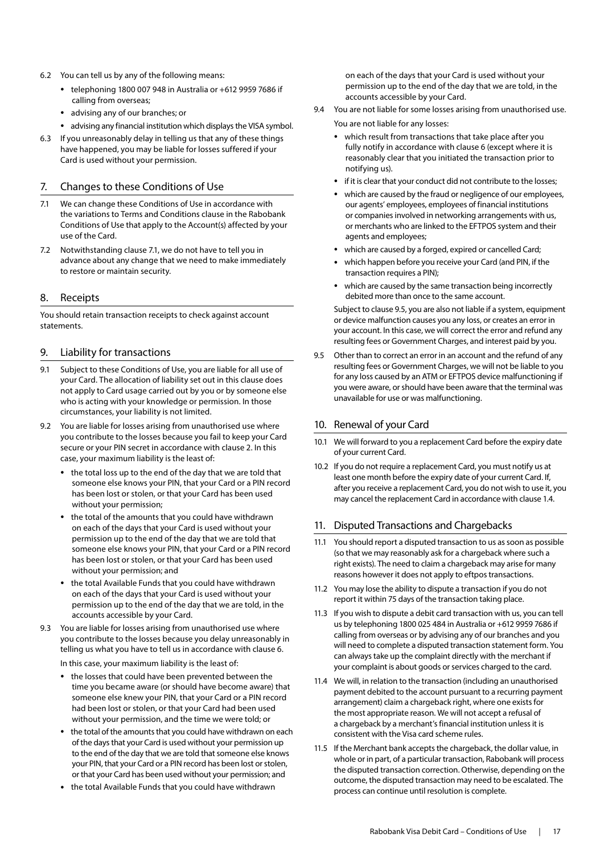- 6.2 You can tell us by any of the following means:
	- telephoning 1800 007 948 in Australia or +612 9959 7686 if calling from overseas;
	- advising any of our branches; or
	- advising any financial institution which displays the VISA symbol.
- 6.3 If you unreasonably delay in telling us that any of these things have happened, you may be liable for losses suffered if your Card is used without your permission.

#### 7. Changes to these Conditions of Use

- 7.1 We can change these Conditions of Use in accordance with the variations to Terms and Conditions clause in the Rabobank Conditions of Use that apply to the Account(s) affected by your use of the Card.
- 7.2 Notwithstanding clause 7.1, we do not have to tell you in advance about any change that we need to make immediately to restore or maintain security.

#### 8. Receipts

You should retain transaction receipts to check against account statements.

#### 9. Liability for transactions

- 9.1 Subject to these Conditions of Use, you are liable for all use of your Card. The allocation of liability set out in this clause does not apply to Card usage carried out by you or by someone else who is acting with your knowledge or permission. In those circumstances, your liability is not limited.
- 9.2 You are liable for losses arising from unauthorised use where you contribute to the losses because you fail to keep your Card secure or your PIN secret in accordance with clause 2. In this case, your maximum liability is the least of:
	- the total loss up to the end of the day that we are told that someone else knows your PIN, that your Card or a PIN record has been lost or stolen, or that your Card has been used without your permission;
	- the total of the amounts that you could have withdrawn on each of the days that your Card is used without your permission up to the end of the day that we are told that someone else knows your PIN, that your Card or a PIN record has been lost or stolen, or that your Card has been used without your permission; and
	- the total Available Funds that you could have withdrawn on each of the days that your Card is used without your permission up to the end of the day that we are told, in the accounts accessible by your Card.
- 9.3 You are liable for losses arising from unauthorised use where you contribute to the losses because you delay unreasonably in telling us what you have to tell us in accordance with clause 6.

In this case, your maximum liability is the least of:

- the losses that could have been prevented between the time you became aware (or should have become aware) that someone else knew your PIN, that your Card or a PIN record had been lost or stolen, or that your Card had been used without your permission, and the time we were told; or
- the total of the amounts that you could have withdrawn on each of the days that your Card is used without your permission up to the end of the day that we are told that someone else knows your PIN, that your Card or a PIN record has been lost or stolen, or that your Card has been used without your permission; and
- the total Available Funds that you could have withdrawn

on each of the days that your Card is used without your permission up to the end of the day that we are told, in the accounts accessible by your Card.

- 9.4 You are not liable for some losses arising from unauthorised use. You are not liable for any losses:
	- which result from transactions that take place after you fully notify in accordance with clause 6 (except where it is reasonably clear that you initiated the transaction prior to notifying us).
	- if it is clear that your conduct did not contribute to the losses;
	- which are caused by the fraud or negligence of our employees, our agents' employees, employees of financial institutions or companies involved in networking arrangements with us, or merchants who are linked to the EFTPOS system and their agents and employees;
	- which are caused by a forged, expired or cancelled Card;
	- which happen before you receive your Card (and PIN, if the transaction requires a PIN);
	- which are caused by the same transaction being incorrectly debited more than once to the same account.

Subject to clause 9.5, you are also not liable if a system, equipment or device malfunction causes you any loss, or creates an error in your account. In this case, we will correct the error and refund any resulting fees or Government Charges, and interest paid by you.

9.5 Other than to correct an error in an account and the refund of any resulting fees or Government Charges, we will not be liable to you for any loss caused by an ATM or EFTPOS device malfunctioning if you were aware, or should have been aware that the terminal was unavailable for use or was malfunctioning.

#### 10. Renewal of your Card

- 10.1 We will forward to you a replacement Card before the expiry date of your current Card.
- 10.2 If you do not require a replacement Card, you must notify us at least one month before the expiry date of your current Card. If, after you receive a replacement Card, you do not wish to use it, you may cancel the replacement Card in accordance with clause 1.4.

#### 11. Disputed Transactions and Chargebacks

- 11.1 You should report a disputed transaction to us as soon as possible (so that we may reasonably ask for a chargeback where such a right exists). The need to claim a chargeback may arise for many reasons however it does not apply to eftpos transactions.
- 11.2 You may lose the ability to dispute a transaction if you do not report it within 75 days of the transaction taking place.
- 11.3 If you wish to dispute a debit card transaction with us, you can tell us by telephoning 1800 025 484 in Australia or +612 9959 7686 if calling from overseas or by advising any of our branches and you will need to complete a disputed transaction statement form. You can always take up the complaint directly with the merchant if your complaint is about goods or services charged to the card.
- 11.4 We will, in relation to the transaction (including an unauthorised payment debited to the account pursuant to a recurring payment arrangement) claim a chargeback right, where one exists for the most appropriate reason. We will not accept a refusal of a chargeback by a merchant's financial institution unless it is consistent with the Visa card scheme rules.
- 11.5 If the Merchant bank accepts the chargeback, the dollar value, in whole or in part, of a particular transaction, Rabobank will process the disputed transaction correction. Otherwise, depending on the outcome, the disputed transaction may need to be escalated. The process can continue until resolution is complete.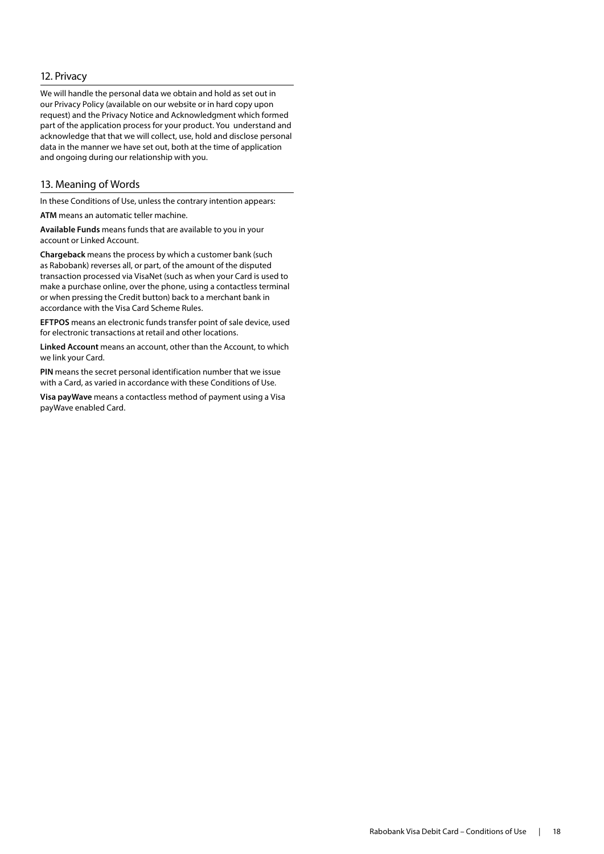#### 12. Privacy

We will handle the personal data we obtain and hold as set out in our Privacy Policy (available on our website or in hard copy upon request) and the Privacy Notice and Acknowledgment which formed part of the application process for your product. You understand and acknowledge that that we will collect, use, hold and disclose personal data in the manner we have set out, both at the time of application and ongoing during our relationship with you.

#### 13. Meaning of Words

In these Conditions of Use, unless the contrary intention appears:

**ATM** means an automatic teller machine.

**Available Funds** means funds that are available to you in your account or Linked Account.

**Chargeback** means the process by which a customer bank (such as Rabobank) reverses all, or part, of the amount of the disputed transaction processed via VisaNet (such as when your Card is used to make a purchase online, over the phone, using a contactless terminal or when pressing the Credit button) back to a merchant bank in accordance with the Visa Card Scheme Rules.

**EFTPOS** means an electronic funds transfer point of sale device, used for electronic transactions at retail and other locations.

**Linked Account** means an account, other than the Account, to which we link your Card.

**PIN** means the secret personal identification number that we issue with a Card, as varied in accordance with these Conditions of Use.

**Visa payWave** means a contactless method of payment using a Visa payWave enabled Card.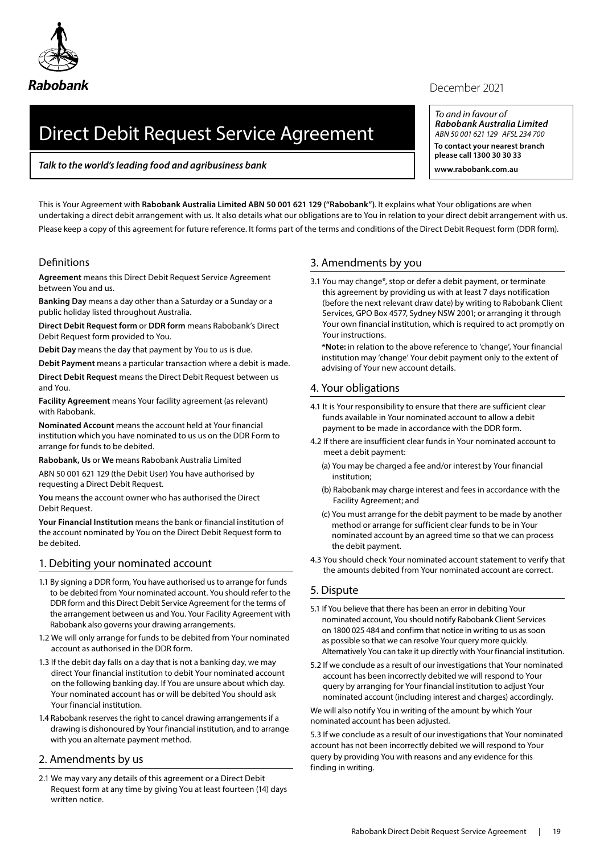

# Direct Debit Request Service Agreement

*Talk to the world's leading food and agribusiness bank*

# December 2021

*To and in favour of Rabobank Australia Limited ABN 50 001 621 129 AFSL 234 700* **To contact your nearest branch please call 1300 30 30 33**

**www.rabobank.com.au**

This is Your Agreement with **Rabobank Australia Limited ABN 50 001 621 129 ("Rabobank")**. It explains what Your obligations are when undertaking a direct debit arrangement with us. It also details what our obligations are to You in relation to your direct debit arrangement with us. Please keep a copy of this agreement for future reference. It forms part of the terms and conditions of the Direct Debit Request form (DDR form).

#### Definitions

**Agreement** means this Direct Debit Request Service Agreement between You and us.

**Banking Day** means a day other than a Saturday or a Sunday or a public holiday listed throughout Australia.

**Direct Debit Request form** or **DDR form** means Rabobank's Direct Debit Request form provided to You.

**Debit Day** means the day that payment by You to us is due.

**Debit Payment** means a particular transaction where a debit is made.

**Direct Debit Request** means the Direct Debit Request between us and You.

**Facility Agreement** means Your facility agreement (as relevant) with Rabobank.

**Nominated Account** means the account held at Your financial institution which you have nominated to us us on the DDR Form to arrange for funds to be debited.

**Rabobank, Us** or **We** means Rabobank Australia Limited

ABN 50 001 621 129 (the Debit User) You have authorised by requesting a Direct Debit Request.

**You** means the account owner who has authorised the Direct Debit Request.

**Your Financial Institution** means the bank or financial institution of the account nominated by You on the Direct Debit Request form to be debited.

#### 1. Debiting your nominated account

- 1.1 By signing a DDR form, You have authorised us to arrange for funds to be debited from Your nominated account. You should refer to the DDR form and this Direct Debit Service Agreement for the terms of the arrangement between us and You. Your Facility Agreement with Rabobank also governs your drawing arrangements.
- 1.2 We will only arrange for funds to be debited from Your nominated account as authorised in the DDR form.
- 1.3 If the debit day falls on a day that is not a banking day, we may direct Your financial institution to debit Your nominated account on the following banking day. If You are unsure about which day. Your nominated account has or will be debited You should ask Your financial institution.
- 1.4 Rabobank reserves the right to cancel drawing arrangements if a drawing is dishonoured by Your financial institution, and to arrange with you an alternate payment method.

#### 2. Amendments by us

2.1 We may vary any details of this agreement or a Direct Debit Request form at any time by giving You at least fourteen (14) days written notice.

#### 3. Amendments by you

3.1 You may change\*, stop or defer a debit payment, or terminate this agreement by providing us with at least 7 days notification (before the next relevant draw date) by writing to Rabobank Client Services, GPO Box 4577, Sydney NSW 2001; or arranging it through Your own financial institution, which is required to act promptly on Your instructions.

 **\*Note:** in relation to the above reference to 'change', Your financial institution may 'change' Your debit payment only to the extent of advising of Your new account details.

#### 4. Your obligations

- 4.1 It is Your responsibility to ensure that there are sufficient clear funds available in Your nominated account to allow a debit payment to be made in accordance with the DDR form.
- 4.2 If there are insufficient clear funds in Your nominated account to meet a debit payment:
	- (a) You may be charged a fee and/or interest by Your financial institution;
	- (b) Rabobank may charge interest and fees in accordance with the Facility Agreement; and
	- (c) You must arrange for the debit payment to be made by another method or arrange for sufficient clear funds to be in Your nominated account by an agreed time so that we can process the debit payment.
- 4.3 You should check Your nominated account statement to verify that the amounts debited from Your nominated account are correct.

#### 5. Dispute

- 5.1 If You believe that there has been an error in debiting Your nominated account, You should notify Rabobank Client Services on 1800 025 484 and confirm that notice in writing to us as soon as possible so that we can resolve Your query more quickly. Alternatively You can take it up directly with Your financial institution.
- 5.2 If we conclude as a result of our investigations that Your nominated account has been incorrectly debited we will respond to Your query by arranging for Your financial institution to adjust Your nominated account (including interest and charges) accordingly.

We will also notify You in writing of the amount by which Your nominated account has been adjusted.

5.3 If we conclude as a result of our investigations that Your nominated account has not been incorrectly debited we will respond to Your query by providing You with reasons and any evidence for this finding in writing.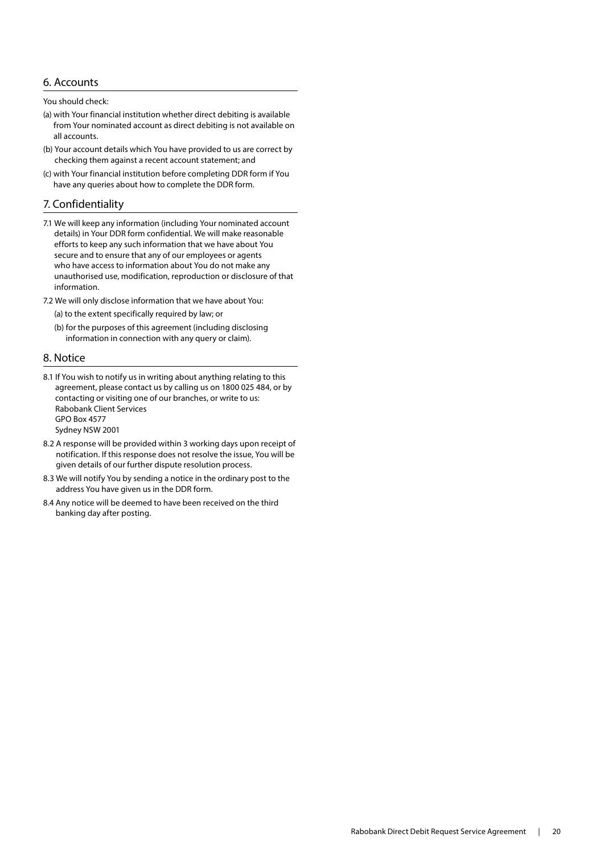#### 6. Accounts

You should check:

- (a) with Your financial institution whether direct debiting is available from Your nominated account as direct debiting is not available on all accounts.
- (b) Your account details which You have provided to us are correct by checking them against a recent account statement; and
- (c) with Your financial institution before completing DDR form if You have any queries about how to complete the DDR form.

#### 7. Confidentiality

- 7.1 We will keep any information (including Your nominated account details) in Your DDR form confidential. We will make reasonable efforts to keep any such information that we have about You secure and to ensure that any of our employees or agents who have access to information about You do not make any unauthorised use, modification, reproduction or disclosure of that information.
- 7.2 We will only disclose information that we have about You:
	- (a) to the extent specifically required by law; or
	- (b) for the purposes of this agreement (including disclosing information in connection with any query or claim).

#### 8. Notice

8.1 If You wish to notify us in writing about anything relating to this agreement, please contact us by calling us on 1800 025 484, or by contacting or visiting one of our branches, or write to us: Rabobank Client Services GPO Box 4577

Sydney NSW 2001

- 8.2 A response will be provided within 3 working days upon receipt of notification. If this response does not resolve the issue, You will be given details of our further dispute resolution process.
- 8.3 We will notify You by sending a notice in the ordinary post to the address You have given us in the DDR form.
- 8.4 Any notice will be deemed to have been received on the third banking day after posting.